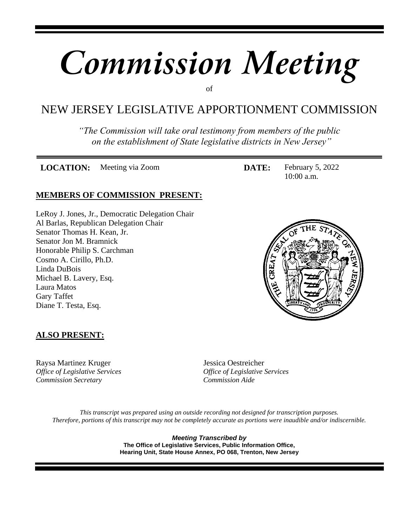# *Commission Meeting*

of

# NEW JERSEY LEGISLATIVE APPORTIONMENT COMMISSION

*"The Commission will take oral testimony from members of the public on the establishment of State legislative districts in New Jersey"*

**LOCATION:** Meeting via Zoom **DATE:** February 5, 2022

10:00 a.m.

#### **MEMBERS OF COMMISSION PRESENT:**

LeRoy J. Jones, Jr., Democratic Delegation Chair Al Barlas, Republican Delegation Chair Senator Thomas H. Kean, Jr. Senator Jon M. Bramnick Honorable Philip S. Carchman Cosmo A. Cirillo, Ph.D. Linda DuBois Michael B. Lavery, Esq. Laura Matos Gary Taffet Diane T. Testa, Esq.



#### **ALSO PRESENT:**

Raysa Martinez Kruger Jessica Oestreicher *Commission Secretary Commission Aide*

*Office of Legislative Services Office of Legislative Services*

*This transcript was prepared using an outside recording not designed for transcription purposes. Therefore, portions of this transcript may not be completely accurate as portions were inaudible and/or indiscernible.*

> *Meeting Transcribed by* **The Office of Legislative Services, Public Information Office, Hearing Unit, State House Annex, PO 068, Trenton, New Jersey**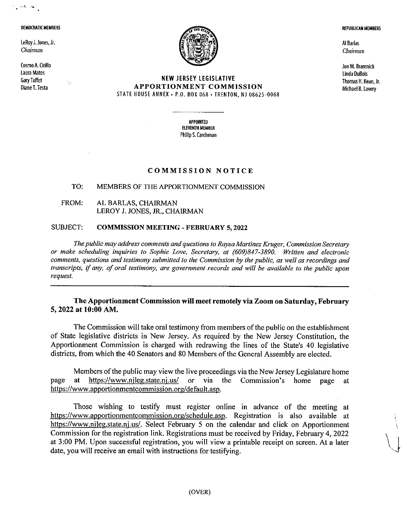#### DEMOCRATIC MEMBERS

 $\frac{1}{2}$  and  $\frac{1}{2}$ 

LeRoy J. Jones, Jr. Chairman

Cosmo A. Cirillo **Laura Matos Gary Taffet** Diane T. Testa



#### **NEW JERSEY LEGISLATIVE APPORTIONMENT COMMISSION** STATE HOUSE ANNEX - P.O. BOX 068 - TRENTON, NJ 08625-0068

**APPOINTED ELEVENTH MEMBER** Philip S. Carchman

#### **COMMISSION NOTICE**

#### TO: MEMBERS OF THE APPORTIONMENT COMMISSION

FROM: AL BARLAS, CHAIRMAN LEROY J. JONES, JR., CHAIRMAN

#### **SUBJECT: COMMISSION MEETING - FEBRUARY 5, 2022**

The public may address comments and questions to Raysa Martinez Kruger, Commission Secretary or make scheduling inquiries to Sophie Love, Secretary, at (609)847-3890. Written and electronic comments, questions and testimony submitted to the Commission by the public, as well as recordings and transcripts, if any, of oral testimony, are government records and will be available to the public upon request.

#### The Apportionment Commission will meet remotely via Zoom on Saturday, February 5, 2022 at 10:00 AM.

The Commission will take oral testimony from members of the public on the establishment of State legislative districts in New Jersey. As required by the New Jersey Constitution, the Apportionment Commission is charged with redrawing the lines of the State's 40 legislative districts, from which the 40 Senators and 80 Members of the General Assembly are elected.

Members of the public may view the live proceedings via the New Jersey Legislature home https://www.njleg.state.ni.us/ or via the Commission's at page home page at https://www.apportionmentcommission.org/default.asp.

Those wishing to testify must register online in advance of the meeting at https://www.apportionmentcommission.org/schedule.asp. Registration is also available at https://www.njleg.state.nj.us/. Select February 5 on the calendar and click on Apportionment Commission for the registration link. Registrations must be received by Friday, February 4, 2022 at 3:00 PM. Upon successful registration, you will view a printable receipt on screen. At a later date, you will receive an email with instructions for testifying.

**REPUBLICAN MEMBERS** 

Al Barlas Chairman

Jon M. Bramnick Linda DuBois Thomas H. Kean, Jr. Michael B. Lavery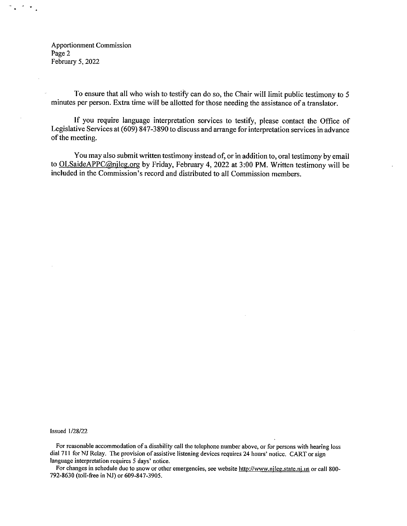**Apportionment Commission** Page 2 February 5, 2022

 $\left\langle \mathbf{r} \right\rangle_{\mathbf{A}}$ 

To ensure that all who wish to testify can do so, the Chair will limit public testimony to 5 minutes per person. Extra time will be allotted for those needing the assistance of a translator.

If you require language interpretation services to testify, please contact the Office of Legislative Services at (609) 847-3890 to discuss and arrange for interpretation services in advance of the meeting.

You may also submit written testimony instead of, or in addition to, oral testimony by email to OLSaideAPPC@njleg.org by Friday, February 4, 2022 at 3:00 PM. Written testimony will be included in the Commission's record and distributed to all Commission members.

**Issued 1/28/22** 

For reasonable accommodation of a disability call the telephone number above, or for persons with hearing loss dial 711 for NJ Relay. The provision of assistive listening devices requires 24 hours' notice. CART or sign language interpretation requires 5 days' notice.

For changes in schedule due to snow or other emergencies, see website http://www.njleg.state.nj.us or call 800-792-8630 (toll-free in NJ) or 609-847-3905.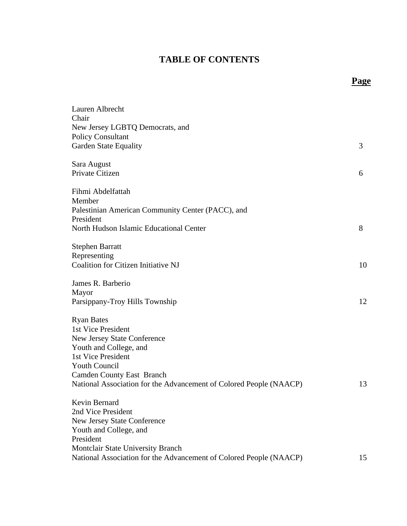#### **TABLE OF CONTENTS**

**Page**

| Lauren Albrecht                                                    |    |
|--------------------------------------------------------------------|----|
| Chair                                                              |    |
| New Jersey LGBTQ Democrats, and<br><b>Policy Consultant</b>        |    |
| <b>Garden State Equality</b>                                       | 3  |
|                                                                    |    |
| Sara August                                                        |    |
| Private Citizen                                                    | 6  |
| Fihmi Abdelfattah                                                  |    |
| Member                                                             |    |
| Palestinian American Community Center (PACC), and                  |    |
| President                                                          |    |
| North Hudson Islamic Educational Center                            | 8  |
| <b>Stephen Barratt</b>                                             |    |
| Representing                                                       |    |
| Coalition for Citizen Initiative NJ                                | 10 |
| James R. Barberio                                                  |    |
| Mayor                                                              |    |
| Parsippany-Troy Hills Township                                     | 12 |
| <b>Ryan Bates</b>                                                  |    |
| 1st Vice President                                                 |    |
| <b>New Jersey State Conference</b>                                 |    |
| Youth and College, and                                             |    |
| 1st Vice President                                                 |    |
| <b>Youth Council</b>                                               |    |
| <b>Camden County East Branch</b>                                   |    |
| National Association for the Advancement of Colored People (NAACP) | 13 |
| Kevin Bernard                                                      |    |
| 2nd Vice President                                                 |    |
| <b>New Jersey State Conference</b>                                 |    |
| Youth and College, and                                             |    |
| President                                                          |    |
| <b>Montclair State University Branch</b>                           |    |
| National Association for the Advancement of Colored People (NAACP) | 15 |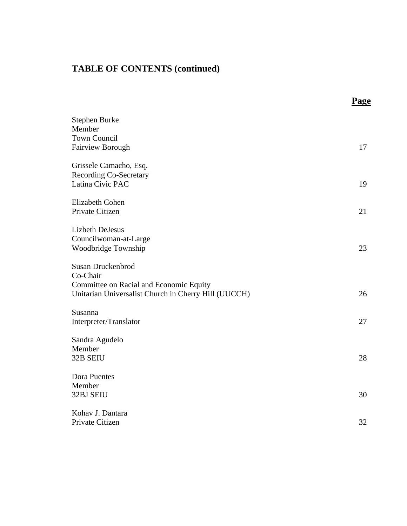|                                                                                                                                  | <b>Page</b> |
|----------------------------------------------------------------------------------------------------------------------------------|-------------|
| Stephen Burke<br>Member                                                                                                          |             |
| <b>Town Council</b><br>Fairview Borough                                                                                          | 17          |
| Grissele Camacho, Esq.<br><b>Recording Co-Secretary</b><br>Latina Civic PAC                                                      | 19          |
| Elizabeth Cohen<br>Private Citizen                                                                                               | 21          |
| <b>Lizbeth DeJesus</b><br>Councilwoman-at-Large<br>Woodbridge Township                                                           | 23          |
| Susan Druckenbrod<br>Co-Chair<br>Committee on Racial and Economic Equity<br>Unitarian Universalist Church in Cherry Hill (UUCCH) | 26          |
| Susanna<br>Interpreter/Translator                                                                                                | 27          |
| Sandra Agudelo<br>Member<br>32B SEIU                                                                                             | 28          |
| Dora Puentes<br>Member<br><b>32BJ SEIU</b>                                                                                       | 30          |
| Kohav J. Dantara<br>Private Citizen                                                                                              | 32          |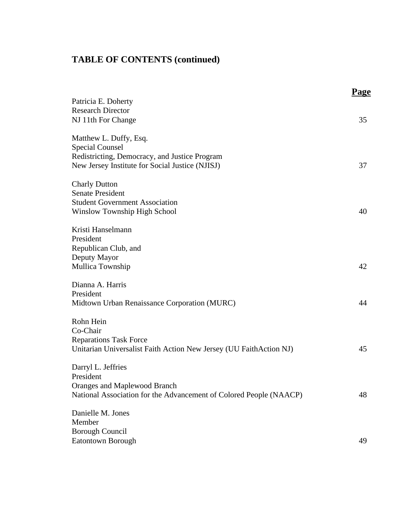|                                                                    | Page |
|--------------------------------------------------------------------|------|
| Patricia E. Doherty                                                |      |
| <b>Research Director</b>                                           |      |
| NJ 11th For Change                                                 | 35   |
| Matthew L. Duffy, Esq.                                             |      |
| <b>Special Counsel</b>                                             |      |
| Redistricting, Democracy, and Justice Program                      |      |
| New Jersey Institute for Social Justice (NJISJ)                    | 37   |
| <b>Charly Dutton</b>                                               |      |
| <b>Senate President</b>                                            |      |
| <b>Student Government Association</b>                              |      |
| Winslow Township High School                                       | 40   |
| Kristi Hanselmann                                                  |      |
| President                                                          |      |
| Republican Club, and                                               |      |
| Deputy Mayor                                                       |      |
| Mullica Township                                                   | 42   |
| Dianna A. Harris                                                   |      |
| President                                                          |      |
| Midtown Urban Renaissance Corporation (MURC)                       | 44   |
| Rohn Hein                                                          |      |
| Co-Chair                                                           |      |
| <b>Reparations Task Force</b>                                      |      |
| Unitarian Universalist Faith Action New Jersey (UU FaithAction NJ) | 45   |
| Darryl L. Jeffries                                                 |      |
| President                                                          |      |
| <b>Oranges and Maplewood Branch</b>                                |      |
| National Association for the Advancement of Colored People (NAACP) | 48   |
| Danielle M. Jones                                                  |      |
| Member                                                             |      |
| <b>Borough Council</b>                                             |      |
| Eatontown Borough                                                  | 49   |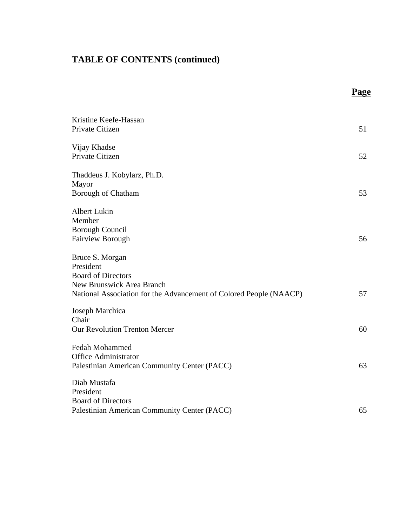|                                                                                                                                                                     | Page |
|---------------------------------------------------------------------------------------------------------------------------------------------------------------------|------|
| Kristine Keefe-Hassan<br>Private Citizen                                                                                                                            | 51   |
| Vijay Khadse<br>Private Citizen                                                                                                                                     | 52   |
| Thaddeus J. Kobylarz, Ph.D.<br>Mayor<br>Borough of Chatham                                                                                                          | 53   |
| <b>Albert Lukin</b><br>Member<br><b>Borough Council</b><br><b>Fairview Borough</b>                                                                                  | 56   |
| Bruce S. Morgan<br>President<br><b>Board of Directors</b><br><b>New Brunswick Area Branch</b><br>National Association for the Advancement of Colored People (NAACP) | 57   |
| Joseph Marchica<br>Chair<br><b>Our Revolution Trenton Mercer</b>                                                                                                    | 60   |
| <b>Fedah Mohammed</b><br><b>Office Administrator</b><br>Palestinian American Community Center (PACC)                                                                | 63   |
| Diab Mustafa<br>President<br><b>Board of Directors</b><br>Palestinian American Community Center (PACC)                                                              | 65   |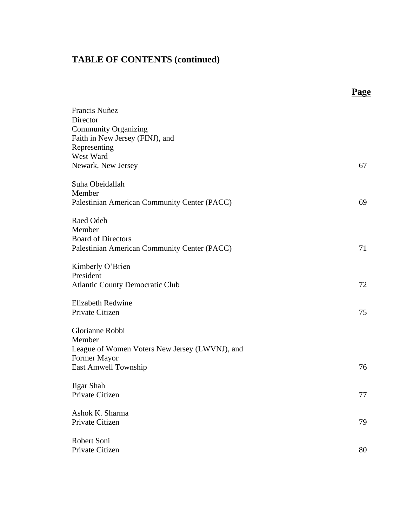|                                                                                                                                                | <b>Page</b> |
|------------------------------------------------------------------------------------------------------------------------------------------------|-------------|
| Francis Nuñez<br>Director<br><b>Community Organizing</b><br>Faith in New Jersey (FINJ), and<br>Representing<br>West Ward<br>Newark, New Jersey | 67          |
| Suha Obeidallah<br>Member<br>Palestinian American Community Center (PACC)                                                                      | 69          |
| Raed Odeh<br>Member<br><b>Board of Directors</b><br>Palestinian American Community Center (PACC)                                               | 71          |
| Kimberly O'Brien<br>President<br><b>Atlantic County Democratic Club</b>                                                                        | 72          |
| <b>Elizabeth Redwine</b><br>Private Citizen                                                                                                    | 75          |
| Glorianne Robbi<br>Member<br>League of Women Voters New Jersey (LWVNJ), and<br>Former Mayor<br>East Amwell Township                            | 76          |
| Jigar Shah<br>Private Citizen                                                                                                                  | 77          |
| Ashok K. Sharma<br>Private Citizen                                                                                                             | 79          |
| Robert Soni<br>Private Citizen                                                                                                                 | 80          |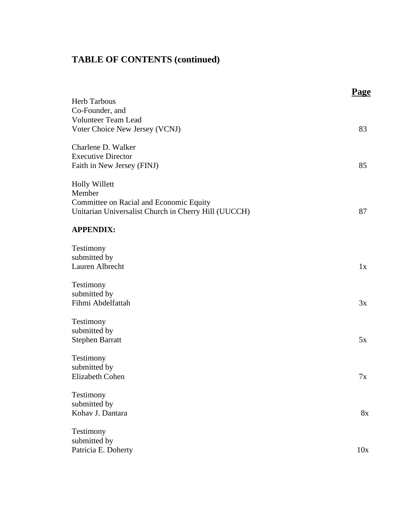|                                                                                                                                   | Page |
|-----------------------------------------------------------------------------------------------------------------------------------|------|
| <b>Herb Tarbous</b><br>Co-Founder, and<br><b>Volunteer Team Lead</b><br>Voter Choice New Jersey (VCNJ)                            | 83   |
| Charlene D. Walker<br><b>Executive Director</b><br>Faith in New Jersey (FINJ)                                                     | 85   |
| <b>Holly Willett</b><br>Member<br>Committee on Racial and Economic Equity<br>Unitarian Universalist Church in Cherry Hill (UUCCH) | 87   |
| <b>APPENDIX:</b>                                                                                                                  |      |
| Testimony<br>submitted by<br>Lauren Albrecht                                                                                      | 1x   |
| Testimony<br>submitted by<br>Fihmi Abdelfattah                                                                                    | 3x   |
| Testimony<br>submitted by<br><b>Stephen Barratt</b>                                                                               | 5x   |
| Testimony<br>submitted by<br><b>Elizabeth Cohen</b>                                                                               | 7x   |
| Testimony<br>submitted by<br>Kohav J. Dantara                                                                                     | 8x   |
| Testimony<br>submitted by<br>Patricia E. Doherty                                                                                  | 10x  |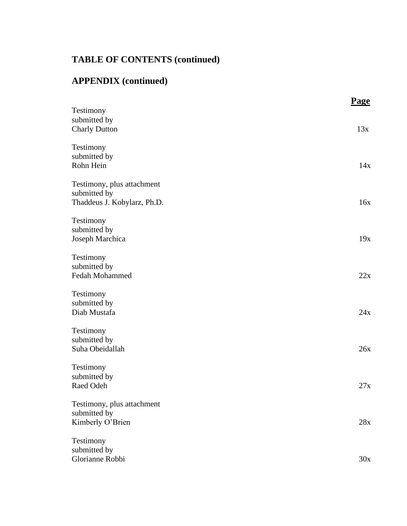# **APPENDIX (continued)**

|                             | Page |
|-----------------------------|------|
| Testimony                   |      |
| submitted by                |      |
| <b>Charly Dutton</b>        | 13x  |
| Testimony                   |      |
| submitted by                |      |
| Rohn Hein                   | 14x  |
|                             |      |
| Testimony, plus attachment  |      |
| submitted by                |      |
| Thaddeus J. Kobylarz, Ph.D. | 16x  |
| Testimony                   |      |
| submitted by                |      |
| Joseph Marchica             | 19x  |
| Testimony                   |      |
| submitted by                |      |
| Fedah Mohammed              | 22x  |
|                             |      |
| Testimony                   |      |
| submitted by                |      |
| Diab Mustafa                | 24x  |
| Testimony                   |      |
| submitted by                |      |
| Suha Obeidallah             | 26x  |
|                             |      |
| Testimony                   |      |
| submitted by                |      |
| Raed Odeh                   | 27x  |
| Testimony, plus attachment  |      |
| submitted by                |      |
| Kimberly O'Brien            | 28x  |
|                             |      |
| Testimony                   |      |
| submitted by                |      |
| Glorianne Robbi             | 30x  |
|                             |      |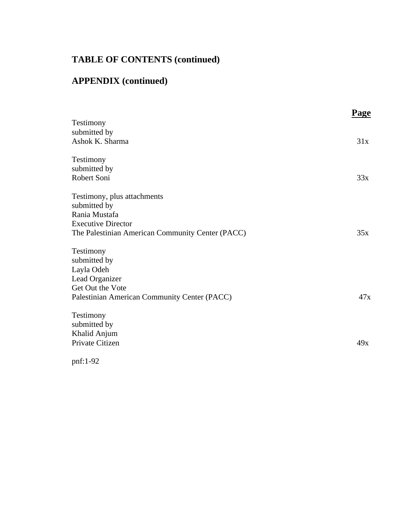# **APPENDIX (continued)**

| Testimony<br>submitted by                        | 31x |
|--------------------------------------------------|-----|
|                                                  |     |
|                                                  |     |
| Ashok K. Sharma                                  |     |
| Testimony                                        |     |
| submitted by                                     |     |
| Robert Soni                                      | 33x |
| Testimony, plus attachments                      |     |
| submitted by                                     |     |
| Rania Mustafa                                    |     |
| <b>Executive Director</b>                        |     |
| The Palestinian American Community Center (PACC) | 35x |
| Testimony                                        |     |
| submitted by                                     |     |
| Layla Odeh                                       |     |
| Lead Organizer                                   |     |
| Get Out the Vote                                 |     |
| Palestinian American Community Center (PACC)     | 47x |
| Testimony                                        |     |
| submitted by                                     |     |
| Khalid Anjum                                     |     |
| Private Citizen                                  | 49x |
|                                                  |     |

pnf:1-92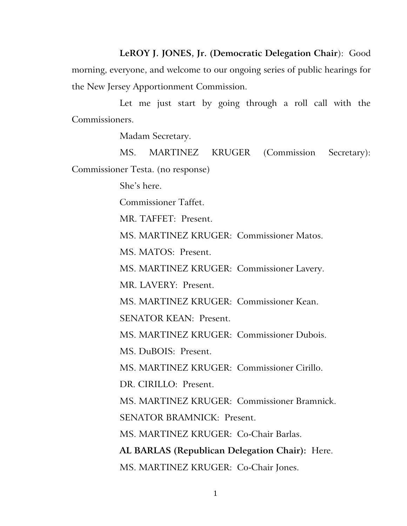**LeROY J. JONES, Jr. (Democratic Delegation Chair**): Good morning, everyone, and welcome to our ongoing series of public hearings for the New Jersey Apportionment Commission.

Let me just start by going through a roll call with the Commissioners.

Madam Secretary.

MS. MARTINEZ KRUGER (Commission Secretary): Commissioner Testa. (no response)

She's here.

Commissioner Taffet.

MR. TAFFET: Present.

MS. MARTINEZ KRUGER: Commissioner Matos.

MS. MATOS: Present.

MS. MARTINEZ KRUGER: Commissioner Lavery.

MR. LAVERY: Present.

MS. MARTINEZ KRUGER: Commissioner Kean.

SENATOR KEAN: Present.

MS. MARTINEZ KRUGER: Commissioner Dubois.

MS. DuBOIS: Present.

MS. MARTINEZ KRUGER: Commissioner Cirillo.

DR. CIRILLO: Present.

MS. MARTINEZ KRUGER: Commissioner Bramnick.

SENATOR BRAMNICK: Present.

MS. MARTINEZ KRUGER: Co-Chair Barlas.

**AL BARLAS (Republican Delegation Chair):** Here. MS. MARTINEZ KRUGER: Co-Chair Jones.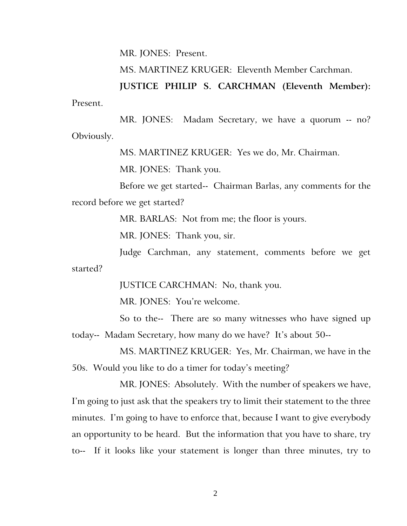MR. JONES: Present.

MS. MARTINEZ KRUGER: Eleventh Member Carchman.

**JUSTICE PHILIP S. CARCHMAN (Eleventh Member):** Present.

MR. JONES: Madam Secretary, we have a quorum -- no? Obviously.

MS. MARTINEZ KRUGER: Yes we do, Mr. Chairman.

MR. JONES: Thank you.

Before we get started-- Chairman Barlas, any comments for the record before we get started?

MR. BARLAS: Not from me; the floor is yours.

MR. JONES: Thank you, sir.

Judge Carchman, any statement, comments before we get started?

JUSTICE CARCHMAN: No, thank you.

MR. JONES: You're welcome.

So to the-- There are so many witnesses who have signed up today-- Madam Secretary, how many do we have? It's about 50--

MS. MARTINEZ KRUGER: Yes, Mr. Chairman, we have in the 50s. Would you like to do a timer for today's meeting?

MR. JONES: Absolutely. With the number of speakers we have, I'm going to just ask that the speakers try to limit their statement to the three minutes. I'm going to have to enforce that, because I want to give everybody an opportunity to be heard. But the information that you have to share, try to-- If it looks like your statement is longer than three minutes, try to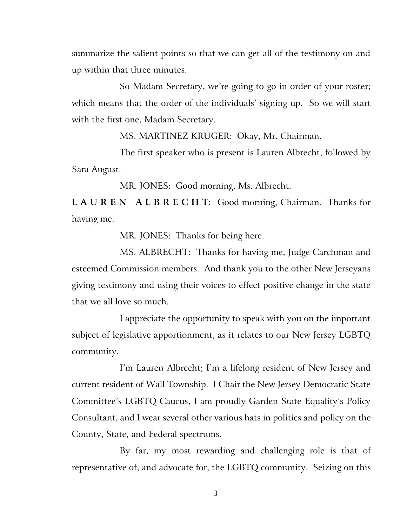summarize the salient points so that we can get all of the testimony on and up within that three minutes.

So Madam Secretary, we're going to go in order of your roster; which means that the order of the individuals' signing up. So we will start with the first one, Madam Secretary.

MS. MARTINEZ KRUGER: Okay, Mr. Chairman.

The first speaker who is present is Lauren Albrecht, followed by Sara August.

MR. JONES: Good morning, Ms. Albrecht.

**L A U R E N A L B R E C H T:** Good morning, Chairman. Thanks for having me.

MR. JONES: Thanks for being here.

MS. ALBRECHT: Thanks for having me, Judge Carchman and esteemed Commission members. And thank you to the other New Jerseyans giving testimony and using their voices to effect positive change in the state that we all love so much.

I appreciate the opportunity to speak with you on the important subject of legislative apportionment, as it relates to our New Jersey LGBTQ community.

I'm Lauren Albrecht; I'm a lifelong resident of New Jersey and current resident of Wall Township. I Chair the New Jersey Democratic State Committee's LGBTQ Caucus, I am proudly Garden State Equality's Policy Consultant, and I wear several other various hats in politics and policy on the County, State, and Federal spectrums.

By far, my most rewarding and challenging role is that of representative of, and advocate for, the LGBTQ community. Seizing on this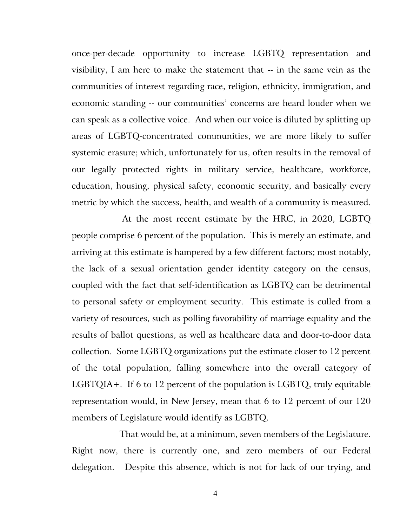once-per-decade opportunity to increase LGBTQ representation and visibility, I am here to make the statement that -- in the same vein as the communities of interest regarding race, religion, ethnicity, immigration, and economic standing -- our communities' concerns are heard louder when we can speak as a collective voice. And when our voice is diluted by splitting up areas of LGBTQ-concentrated communities, we are more likely to suffer systemic erasure; which, unfortunately for us, often results in the removal of our legally protected rights in military service, healthcare, workforce, education, housing, physical safety, economic security, and basically every metric by which the success, health, and wealth of a community is measured.

At the most recent estimate by the HRC, in 2020, LGBTQ people comprise 6 percent of the population. This is merely an estimate, and arriving at this estimate is hampered by a few different factors; most notably, the lack of a sexual orientation gender identity category on the census, coupled with the fact that self-identification as LGBTQ can be detrimental to personal safety or employment security. This estimate is culled from a variety of resources, such as polling favorability of marriage equality and the results of ballot questions, as well as healthcare data and door-to-door data collection. Some LGBTQ organizations put the estimate closer to 12 percent of the total population, falling somewhere into the overall category of LGBTQIA+. If 6 to 12 percent of the population is LGBTQ, truly equitable representation would, in New Jersey, mean that 6 to 12 percent of our 120 members of Legislature would identify as LGBTQ.

That would be, at a minimum, seven members of the Legislature. Right now, there is currently one, and zero members of our Federal delegation. Despite this absence, which is not for lack of our trying, and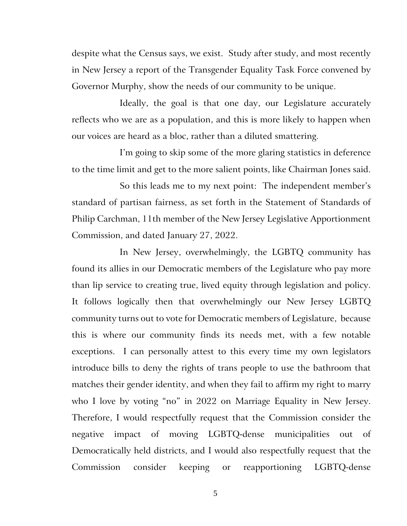despite what the Census says, we exist. Study after study, and most recently in New Jersey a report of the Transgender Equality Task Force convened by Governor Murphy, show the needs of our community to be unique.

Ideally, the goal is that one day, our Legislature accurately reflects who we are as a population, and this is more likely to happen when our voices are heard as a bloc, rather than a diluted smattering.

I'm going to skip some of the more glaring statistics in deference to the time limit and get to the more salient points, like Chairman Jones said.

So this leads me to my next point: The independent member's standard of partisan fairness, as set forth in the Statement of Standards of Philip Carchman, 11th member of the New Jersey Legislative Apportionment Commission, and dated January 27, 2022.

In New Jersey, overwhelmingly, the LGBTQ community has found its allies in our Democratic members of the Legislature who pay more than lip service to creating true, lived equity through legislation and policy. It follows logically then that overwhelmingly our New Jersey LGBTQ community turns out to vote for Democratic members of Legislature, because this is where our community finds its needs met, with a few notable exceptions. I can personally attest to this every time my own legislators introduce bills to deny the rights of trans people to use the bathroom that matches their gender identity, and when they fail to affirm my right to marry who I love by voting "no" in 2022 on Marriage Equality in New Jersey. Therefore, I would respectfully request that the Commission consider the negative impact of moving LGBTQ-dense municipalities out of Democratically held districts, and I would also respectfully request that the Commission consider keeping or reapportioning LGBTQ-dense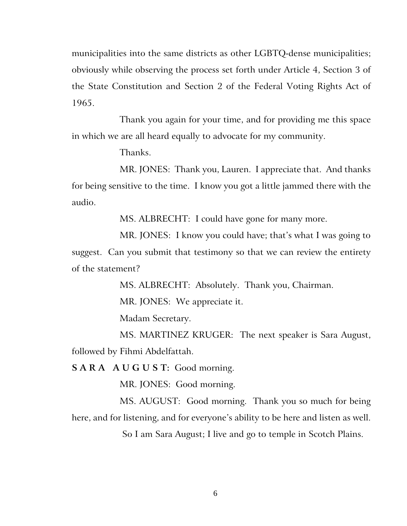municipalities into the same districts as other LGBTQ-dense municipalities; obviously while observing the process set forth under Article 4, Section 3 of the State Constitution and Section 2 of the Federal Voting Rights Act of 1965.

Thank you again for your time, and for providing me this space in which we are all heard equally to advocate for my community.

Thanks.

MR. JONES: Thank you, Lauren. I appreciate that. And thanks for being sensitive to the time. I know you got a little jammed there with the audio.

MS. ALBRECHT: I could have gone for many more.

MR. JONES: I know you could have; that's what I was going to suggest. Can you submit that testimony so that we can review the entirety of the statement?

MS. ALBRECHT: Absolutely. Thank you, Chairman.

MR. JONES: We appreciate it.

Madam Secretary.

MS. MARTINEZ KRUGER: The next speaker is Sara August, followed by Fihmi Abdelfattah.

**S A R A A U G U S T:** Good morning.

MR. JONES: Good morning.

MS. AUGUST: Good morning. Thank you so much for being here, and for listening, and for everyone's ability to be here and listen as well.

So I am Sara August; I live and go to temple in Scotch Plains.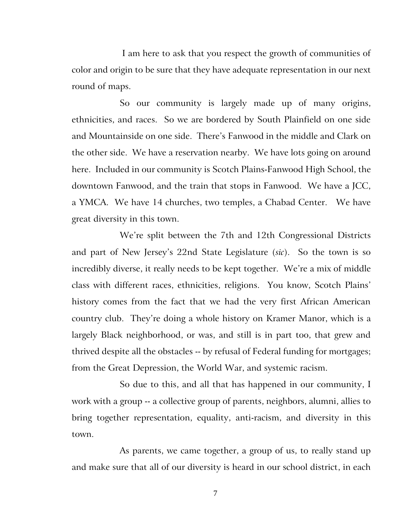I am here to ask that you respect the growth of communities of color and origin to be sure that they have adequate representation in our next round of maps.

So our community is largely made up of many origins, ethnicities, and races. So we are bordered by South Plainfield on one side and Mountainside on one side. There's Fanwood in the middle and Clark on the other side. We have a reservation nearby. We have lots going on around here. Included in our community is Scotch Plains-Fanwood High School, the downtown Fanwood, and the train that stops in Fanwood. We have a JCC, a YMCA. We have 14 churches, two temples, a Chabad Center. We have great diversity in this town.

We're split between the 7th and 12th Congressional Districts and part of New Jersey's 22nd State Legislature (*sic*). So the town is so incredibly diverse, it really needs to be kept together. We're a mix of middle class with different races, ethnicities, religions. You know, Scotch Plains' history comes from the fact that we had the very first African American country club. They're doing a whole history on Kramer Manor, which is a largely Black neighborhood, or was, and still is in part too, that grew and thrived despite all the obstacles -- by refusal of Federal funding for mortgages; from the Great Depression, the World War, and systemic racism.

So due to this, and all that has happened in our community, I work with a group -- a collective group of parents, neighbors, alumni, allies to bring together representation, equality, anti-racism, and diversity in this town.

As parents, we came together, a group of us, to really stand up and make sure that all of our diversity is heard in our school district, in each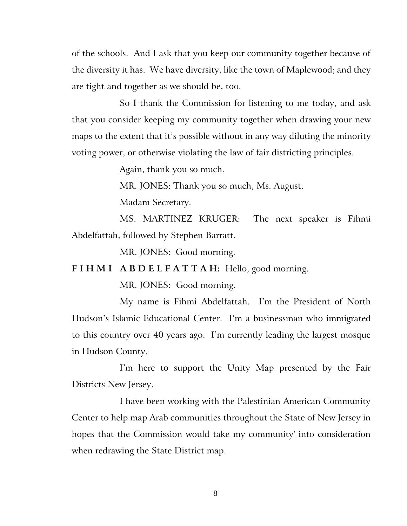of the schools. And I ask that you keep our community together because of the diversity it has. We have diversity, like the town of Maplewood; and they are tight and together as we should be, too.

So I thank the Commission for listening to me today, and ask that you consider keeping my community together when drawing your new maps to the extent that it's possible without in any way diluting the minority voting power, or otherwise violating the law of fair districting principles.

Again, thank you so much.

MR. JONES: Thank you so much, Ms. August.

Madam Secretary.

MS. MARTINEZ KRUGER: The next speaker is Fihmi Abdelfattah, followed by Stephen Barratt.

MR. JONES: Good morning.

**F I H M I A B D E L F A T T A H:** Hello, good morning.

MR. JONES:Good morning.

My name is Fihmi Abdelfattah. I'm the President of North Hudson's Islamic Educational Center. I'm a businessman who immigrated to this country over 40 years ago. I'm currently leading the largest mosque in Hudson County.

I'm here to support the Unity Map presented by the Fair Districts New Jersey.

I have been working with the Palestinian American Community Center to help map Arab communities throughout the State of New Jersey in hopes that the Commission would take my community' into consideration when redrawing the State District map.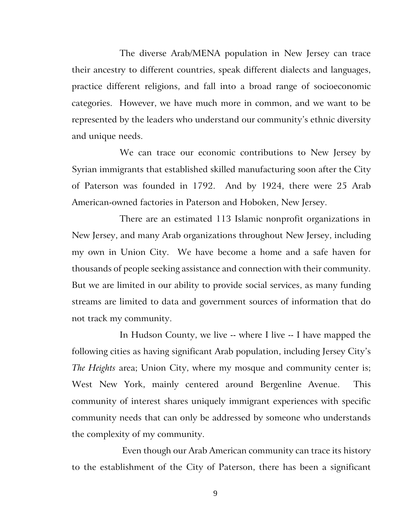The diverse Arab/MENA population in New Jersey can trace their ancestry to different countries, speak different dialects and languages, practice different religions, and fall into a broad range of socioeconomic categories. However, we have much more in common, and we want to be represented by the leaders who understand our community's ethnic diversity and unique needs.

We can trace our economic contributions to New Jersey by Syrian immigrants that established skilled manufacturing soon after the City of Paterson was founded in 1792. And by 1924, there were 25 Arab American-owned factories in Paterson and Hoboken, New Jersey.

There are an estimated 113 Islamic nonprofit organizations in New Jersey, and many Arab organizations throughout New Jersey, including my own in Union City. We have become a home and a safe haven for thousands of people seeking assistance and connection with their community. But we are limited in our ability to provide social services, as many funding streams are limited to data and government sources of information that do not track my community.

In Hudson County, we live -- where I live -- I have mapped the following cities as having significant Arab population, including Jersey City's *The Heights* area; Union City, where my mosque and community center is; West New York, mainly centered around Bergenline Avenue. This community of interest shares uniquely immigrant experiences with specific community needs that can only be addressed by someone who understands the complexity of my community.

Even though our Arab American community can trace its history to the establishment of the City of Paterson, there has been a significant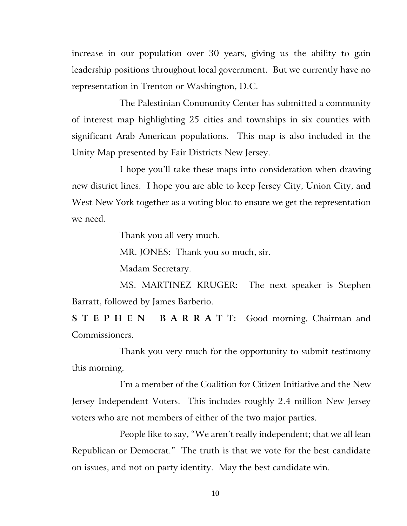increase in our population over 30 years, giving us the ability to gain leadership positions throughout local government. But we currently have no representation in Trenton or Washington, D.C.

The Palestinian Community Center has submitted a community of interest map highlighting 25 cities and townships in six counties with significant Arab American populations. This map is also included in the Unity Map presented by Fair Districts New Jersey.

I hope you'll take these maps into consideration when drawing new district lines. I hope you are able to keep Jersey City, Union City, and West New York together as a voting bloc to ensure we get the representation we need.

Thank you all very much.

MR. JONES: Thank you so much, sir.

Madam Secretary.

MS. MARTINEZ KRUGER: The next speaker is Stephen Barratt, followed by James Barberio.

**S T E P H E N B A R R A T T:** Good morning, Chairman and Commissioners.

Thank you very much for the opportunity to submit testimony this morning.

I'm a member of the Coalition for Citizen Initiative and the New Jersey Independent Voters. This includes roughly 2.4 million New Jersey voters who are not members of either of the two major parties.

People like to say, "We aren't really independent; that we all lean Republican or Democrat." The truth is that we vote for the best candidate on issues, and not on party identity. May the best candidate win.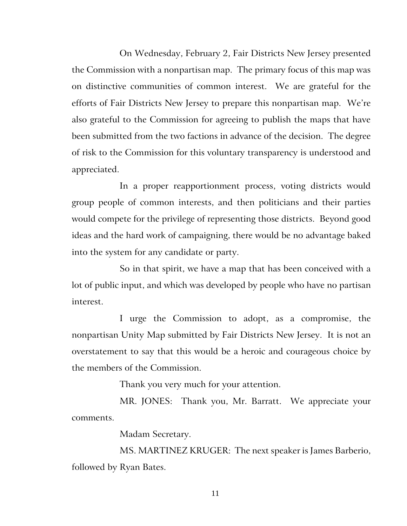On Wednesday, February 2, Fair Districts New Jersey presented the Commission with a nonpartisan map. The primary focus of this map was on distinctive communities of common interest. We are grateful for the efforts of Fair Districts New Jersey to prepare this nonpartisan map. We're also grateful to the Commission for agreeing to publish the maps that have been submitted from the two factions in advance of the decision. The degree of risk to the Commission for this voluntary transparency is understood and appreciated.

In a proper reapportionment process, voting districts would group people of common interests, and then politicians and their parties would compete for the privilege of representing those districts. Beyond good ideas and the hard work of campaigning, there would be no advantage baked into the system for any candidate or party.

So in that spirit, we have a map that has been conceived with a lot of public input, and which was developed by people who have no partisan interest.

I urge the Commission to adopt, as a compromise, the nonpartisan Unity Map submitted by Fair Districts New Jersey. It is not an overstatement to say that this would be a heroic and courageous choice by the members of the Commission.

Thank you very much for your attention.

MR. JONES: Thank you, Mr. Barratt. We appreciate your comments.

Madam Secretary.

MS. MARTINEZ KRUGER: The next speaker is James Barberio, followed by Ryan Bates.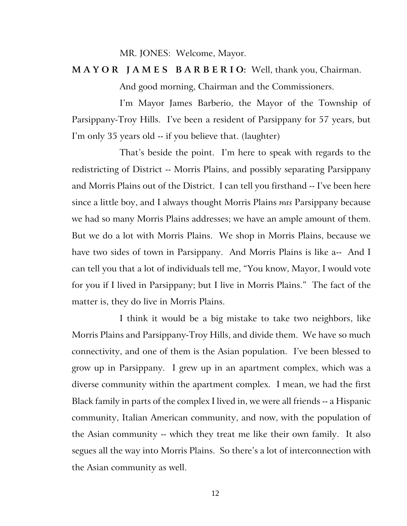MR. JONES: Welcome, Mayor.

**M A Y O R J A M E S B A R B E R I O:** Well, thank you, Chairman.

And good morning, Chairman and the Commissioners.

I'm Mayor James Barberio, the Mayor of the Township of Parsippany-Troy Hills. I've been a resident of Parsippany for 57 years, but I'm only 35 years old -- if you believe that. (laughter)

That's beside the point. I'm here to speak with regards to the redistricting of District -- Morris Plains, and possibly separating Parsippany and Morris Plains out of the District. I can tell you firsthand -- I've been here since a little boy, and I always thought Morris Plains *was* Parsippany because we had so many Morris Plains addresses; we have an ample amount of them. But we do a lot with Morris Plains. We shop in Morris Plains, because we have two sides of town in Parsippany. And Morris Plains is like a-- And I can tell you that a lot of individuals tell me, "You know, Mayor, I would vote for you if I lived in Parsippany; but I live in Morris Plains." The fact of the matter is, they do live in Morris Plains.

I think it would be a big mistake to take two neighbors, like Morris Plains and Parsippany-Troy Hills, and divide them. We have so much connectivity, and one of them is the Asian population. I've been blessed to grow up in Parsippany. I grew up in an apartment complex, which was a diverse community within the apartment complex. I mean, we had the first Black family in parts of the complex I lived in, we were all friends -- a Hispanic community, Italian American community, and now, with the population of the Asian community -- which they treat me like their own family. It also segues all the way into Morris Plains. So there's a lot of interconnection with the Asian community as well.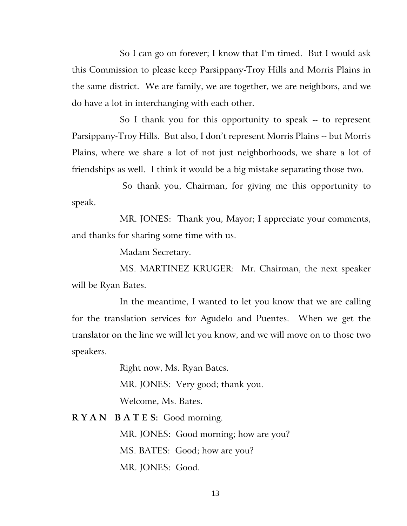So I can go on forever; I know that I'm timed. But I would ask this Commission to please keep Parsippany-Troy Hills and Morris Plains in the same district. We are family, we are together, we are neighbors, and we do have a lot in interchanging with each other.

So I thank you for this opportunity to speak -- to represent Parsippany-Troy Hills. But also, I don't represent Morris Plains -- but Morris Plains, where we share a lot of not just neighborhoods, we share a lot of friendships as well. I think it would be a big mistake separating those two.

So thank you, Chairman, for giving me this opportunity to speak.

MR. JONES: Thank you, Mayor; I appreciate your comments, and thanks for sharing some time with us.

Madam Secretary.

MS. MARTINEZ KRUGER: Mr. Chairman, the next speaker will be Ryan Bates.

In the meantime, I wanted to let you know that we are calling for the translation services for Agudelo and Puentes. When we get the translator on the line we will let you know, and we will move on to those two speakers.

> Right now, Ms. Ryan Bates. MR. JONES: Very good; thank you. Welcome, Ms. Bates.

**R Y A N B A T E S:** Good morning.

MR. JONES: Good morning; how are you? MS. BATES: Good; how are you? MR. JONES: Good.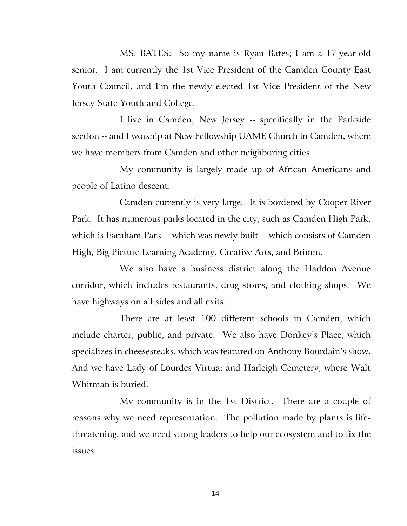MS. BATES: So my name is Ryan Bates; I am a 17-year-old senior. I am currently the 1st Vice President of the Camden County East Youth Council, and I'm the newly elected 1st Vice President of the New Jersey State Youth and College.

I live in Camden, New Jersey -- specifically in the Parkside section -- and I worship at New Fellowship UAME Church in Camden, where we have members from Camden and other neighboring cities.

My community is largely made up of African Americans and people of Latino descent.

Camden currently is very large. It is bordered by Cooper River Park. It has numerous parks located in the city, such as Camden High Park, which is Farnham Park -- which was newly built -- which consists of Camden High, Big Picture Learning Academy, Creative Arts, and Brimm.

We also have a business district along the Haddon Avenue corridor, which includes restaurants, drug stores, and clothing shops. We have highways on all sides and all exits.

There are at least 100 different schools in Camden, which include charter, public, and private. We also have Donkey's Place, which specializes in cheesesteaks, which was featured on Anthony Bourdain's show. And we have Lady of Lourdes Virtua; and Harleigh Cemetery, where Walt Whitman is buried.

My community is in the 1st District. There are a couple of reasons why we need representation. The pollution made by plants is lifethreatening, and we need strong leaders to help our ecosystem and to fix the issues.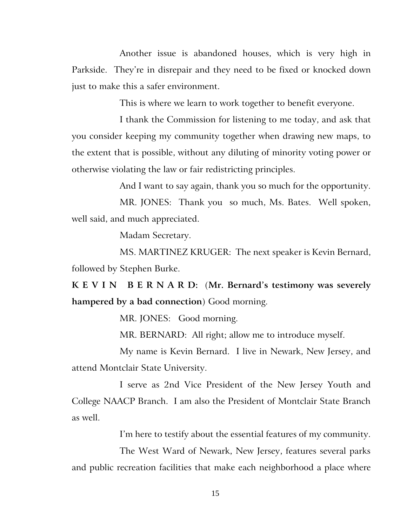Another issue is abandoned houses, which is very high in Parkside. They're in disrepair and they need to be fixed or knocked down just to make this a safer environment.

This is where we learn to work together to benefit everyone.

I thank the Commission for listening to me today, and ask that you consider keeping my community together when drawing new maps, to the extent that is possible, without any diluting of minority voting power or otherwise violating the law or fair redistricting principles.

And I want to say again, thank you so much for the opportunity.

MR. JONES: Thank you so much, Ms. Bates. Well spoken, well said, and much appreciated.

Madam Secretary.

MS. MARTINEZ KRUGER: The next speaker is Kevin Bernard, followed by Stephen Burke.

**K E V I N B E R N A R D:** (**Mr. Bernard's testimony was severely hampered by a bad connection**) Good morning.

MR. JONES: Good morning.

MR. BERNARD: All right; allow me to introduce myself.

My name is Kevin Bernard. I live in Newark, New Jersey, and attend Montclair State University.

I serve as 2nd Vice President of the New Jersey Youth and College NAACP Branch. I am also the President of Montclair State Branch as well.

I'm here to testify about the essential features of my community.

The West Ward of Newark, New Jersey, features several parks and public recreation facilities that make each neighborhood a place where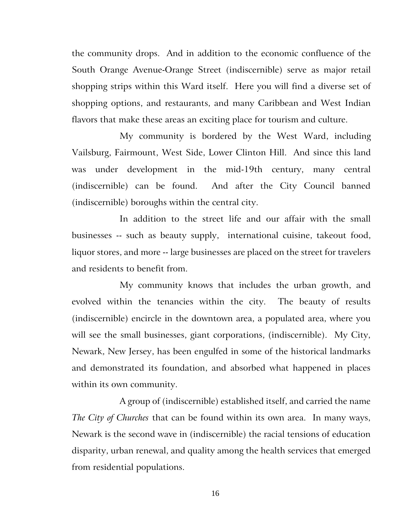the community drops. And in addition to the economic confluence of the South Orange Avenue-Orange Street (indiscernible) serve as major retail shopping strips within this Ward itself. Here you will find a diverse set of shopping options, and restaurants, and many Caribbean and West Indian flavors that make these areas an exciting place for tourism and culture.

My community is bordered by the West Ward, including Vailsburg, Fairmount, West Side, Lower Clinton Hill. And since this land was under development in the mid-19th century, many central (indiscernible) can be found. And after the City Council banned (indiscernible) boroughs within the central city.

In addition to the street life and our affair with the small businesses -- such as beauty supply, international cuisine, takeout food, liquor stores, and more -- large businesses are placed on the street for travelers and residents to benefit from.

My community knows that includes the urban growth, and evolved within the tenancies within the city. The beauty of results (indiscernible) encircle in the downtown area, a populated area, where you will see the small businesses, giant corporations, (indiscernible). My City, Newark, New Jersey, has been engulfed in some of the historical landmarks and demonstrated its foundation, and absorbed what happened in places within its own community.

A group of (indiscernible) established itself, and carried the name *The City of Churches* that can be found within its own area. In many ways, Newark is the second wave in (indiscernible) the racial tensions of education disparity, urban renewal, and quality among the health services that emerged from residential populations.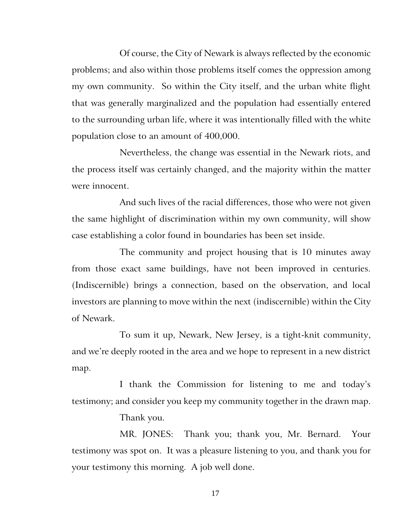Of course, the City of Newark is always reflected by the economic problems; and also within those problems itself comes the oppression among my own community. So within the City itself, and the urban white flight that was generally marginalized and the population had essentially entered to the surrounding urban life, where it was intentionally filled with the white population close to an amount of 400,000.

Nevertheless, the change was essential in the Newark riots, and the process itself was certainly changed, and the majority within the matter were innocent.

And such lives of the racial differences, those who were not given the same highlight of discrimination within my own community, will show case establishing a color found in boundaries has been set inside.

The community and project housing that is 10 minutes away from those exact same buildings, have not been improved in centuries. (Indiscernible) brings a connection, based on the observation, and local investors are planning to move within the next (indiscernible) within the City of Newark.

To sum it up, Newark, New Jersey, is a tight-knit community, and we're deeply rooted in the area and we hope to represent in a new district map.

I thank the Commission for listening to me and today's testimony; and consider you keep my community together in the drawn map.

Thank you.

MR. JONES: Thank you; thank you, Mr. Bernard. Your testimony was spot on. It was a pleasure listening to you, and thank you for your testimony this morning. A job well done.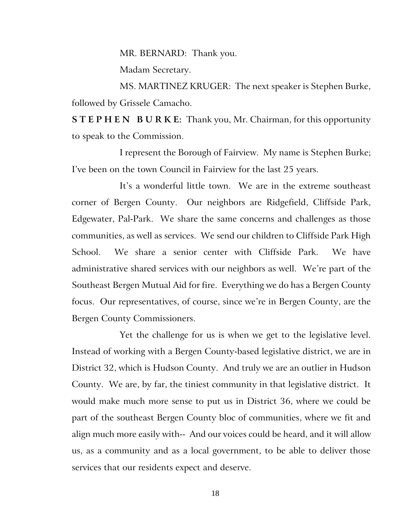MR. BERNARD: Thank you.

Madam Secretary.

MS. MARTINEZ KRUGER: The next speaker is Stephen Burke, followed by Grissele Camacho.

**S T E P H E N B U R K E:** Thank you, Mr. Chairman, for this opportunity to speak to the Commission.

I represent the Borough of Fairview. My name is Stephen Burke; I've been on the town Council in Fairview for the last 25 years.

It's a wonderful little town. We are in the extreme southeast corner of Bergen County. Our neighbors are Ridgefield, Cliffside Park, Edgewater, Pal-Park. We share the same concerns and challenges as those communities, as well as services. We send our children to Cliffside Park High School. We share a senior center with Cliffside Park. We have administrative shared services with our neighbors as well. We're part of the Southeast Bergen Mutual Aid for fire. Everything we do has a Bergen County focus. Our representatives, of course, since we're in Bergen County, are the Bergen County Commissioners.

Yet the challenge for us is when we get to the legislative level. Instead of working with a Bergen County-based legislative district, we are in District 32, which is Hudson County. And truly we are an outlier in Hudson County. We are, by far, the tiniest community in that legislative district. It would make much more sense to put us in District 36, where we could be part of the southeast Bergen County bloc of communities, where we fit and align much more easily with-- And our voices could be heard, and it will allow us, as a community and as a local government, to be able to deliver those services that our residents expect and deserve.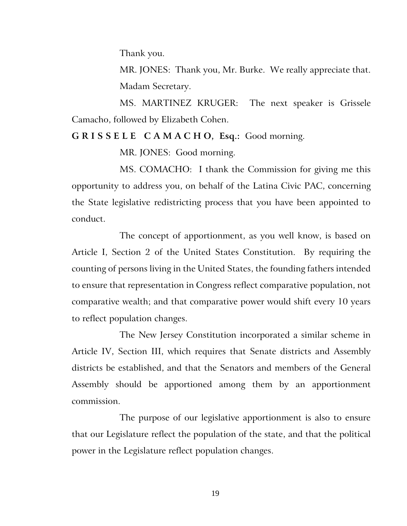Thank you.

MR. JONES: Thank you, Mr. Burke. We really appreciate that. Madam Secretary.

MS. MARTINEZ KRUGER: The next speaker is Grissele Camacho, followed by Elizabeth Cohen.

#### **G R I S S E L E C A M A C H O, Esq.:** Good morning.

MR. JONES: Good morning.

MS. COMACHO: I thank the Commission for giving me this opportunity to address you, on behalf of the Latina Civic PAC, concerning the State legislative redistricting process that you have been appointed to conduct.

The concept of apportionment, as you well know, is based on Article I, Section 2 of the United States Constitution. By requiring the counting of persons living in the United States, the founding fathers intended to ensure that representation in Congress reflect comparative population, not comparative wealth; and that comparative power would shift every 10 years to reflect population changes.

The New Jersey Constitution incorporated a similar scheme in Article IV, Section III, which requires that Senate districts and Assembly districts be established, and that the Senators and members of the General Assembly should be apportioned among them by an apportionment commission.

The purpose of our legislative apportionment is also to ensure that our Legislature reflect the population of the state, and that the political power in the Legislature reflect population changes.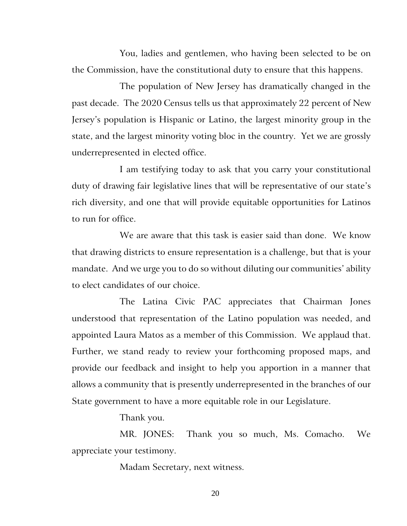You, ladies and gentlemen, who having been selected to be on the Commission, have the constitutional duty to ensure that this happens.

The population of New Jersey has dramatically changed in the past decade. The 2020 Census tells us that approximately 22 percent of New Jersey's population is Hispanic or Latino, the largest minority group in the state, and the largest minority voting bloc in the country. Yet we are grossly underrepresented in elected office.

I am testifying today to ask that you carry your constitutional duty of drawing fair legislative lines that will be representative of our state's rich diversity, and one that will provide equitable opportunities for Latinos to run for office.

We are aware that this task is easier said than done. We know that drawing districts to ensure representation is a challenge, but that is your mandate. And we urge you to do so without diluting our communities' ability to elect candidates of our choice.

The Latina Civic PAC appreciates that Chairman Jones understood that representation of the Latino population was needed, and appointed Laura Matos as a member of this Commission. We applaud that. Further, we stand ready to review your forthcoming proposed maps, and provide our feedback and insight to help you apportion in a manner that allows a community that is presently underrepresented in the branches of our State government to have a more equitable role in our Legislature.

Thank you.

MR. JONES: Thank you so much, Ms. Comacho. We appreciate your testimony.

Madam Secretary, next witness.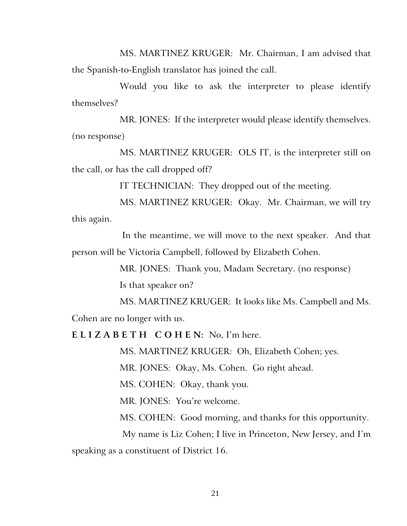MS. MARTINEZ KRUGER: Mr. Chairman, I am advised that the Spanish-to-English translator has joined the call.

Would you like to ask the interpreter to please identify themselves?

MR. JONES: If the interpreter would please identify themselves. (no response)

MS. MARTINEZ KRUGER: OLS IT, is the interpreter still on the call, or has the call dropped off?

IT TECHNICIAN: They dropped out of the meeting.

MS. MARTINEZ KRUGER: Okay. Mr. Chairman, we will try this again.

In the meantime, we will move to the next speaker. And that person will be Victoria Campbell, followed by Elizabeth Cohen.

> MR. JONES: Thank you, Madam Secretary. (no response) Is that speaker on?

MS. MARTINEZ KRUGER: It looks like Ms. Campbell and Ms. Cohen are no longer with us.

**E L I Z A B E T H C O H E N:** No, I'm here.

MS. MARTINEZ KRUGER: Oh, Elizabeth Cohen; yes.

MR. JONES: Okay, Ms. Cohen. Go right ahead.

MS. COHEN: Okay, thank you.

MR. JONES: You're welcome.

MS. COHEN: Good morning, and thanks for this opportunity.

My name is Liz Cohen; I live in Princeton, New Jersey, and I'm speaking as a constituent of District 16.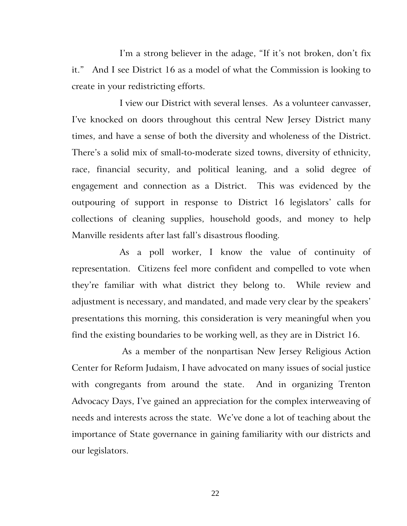I'm a strong believer in the adage, "If it's not broken, don't fix it." And I see District 16 as a model of what the Commission is looking to create in your redistricting efforts.

I view our District with several lenses. As a volunteer canvasser, I've knocked on doors throughout this central New Jersey District many times, and have a sense of both the diversity and wholeness of the District. There's a solid mix of small-to-moderate sized towns, diversity of ethnicity, race, financial security, and political leaning, and a solid degree of engagement and connection as a District. This was evidenced by the outpouring of support in response to District 16 legislators' calls for collections of cleaning supplies, household goods, and money to help Manville residents after last fall's disastrous flooding.

As a poll worker, I know the value of continuity of representation. Citizens feel more confident and compelled to vote when they're familiar with what district they belong to. While review and adjustment is necessary, and mandated, and made very clear by the speakers' presentations this morning, this consideration is very meaningful when you find the existing boundaries to be working well, as they are in District 16.

As a member of the nonpartisan New Jersey Religious Action Center for Reform Judaism, I have advocated on many issues of social justice with congregants from around the state. And in organizing Trenton Advocacy Days, I've gained an appreciation for the complex interweaving of needs and interests across the state. We've done a lot of teaching about the importance of State governance in gaining familiarity with our districts and our legislators.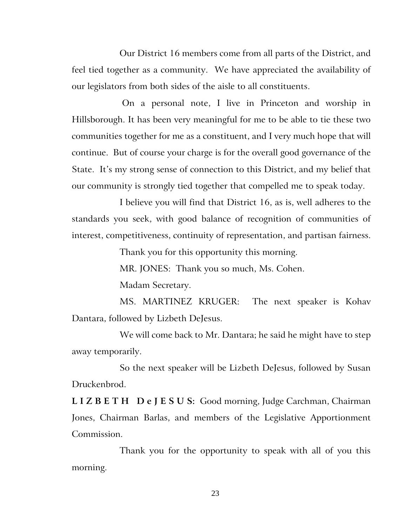Our District 16 members come from all parts of the District, and feel tied together as a community. We have appreciated the availability of our legislators from both sides of the aisle to all constituents.

On a personal note, I live in Princeton and worship in Hillsborough. It has been very meaningful for me to be able to tie these two communities together for me as a constituent, and I very much hope that will continue. But of course your charge is for the overall good governance of the State. It's my strong sense of connection to this District, and my belief that our community is strongly tied together that compelled me to speak today.

I believe you will find that District 16, as is, well adheres to the standards you seek, with good balance of recognition of communities of interest, competitiveness, continuity of representation, and partisan fairness.

Thank you for this opportunity this morning.

MR. JONES: Thank you so much, Ms. Cohen.

Madam Secretary.

MS. MARTINEZ KRUGER: The next speaker is Kohav Dantara, followed by Lizbeth DeJesus.

We will come back to Mr. Dantara; he said he might have to step away temporarily.

So the next speaker will be Lizbeth DeJesus, followed by Susan Druckenbrod.

**L I Z B E T H D e J E S U S:** Good morning, Judge Carchman, Chairman Jones, Chairman Barlas, and members of the Legislative Apportionment Commission.

Thank you for the opportunity to speak with all of you this morning.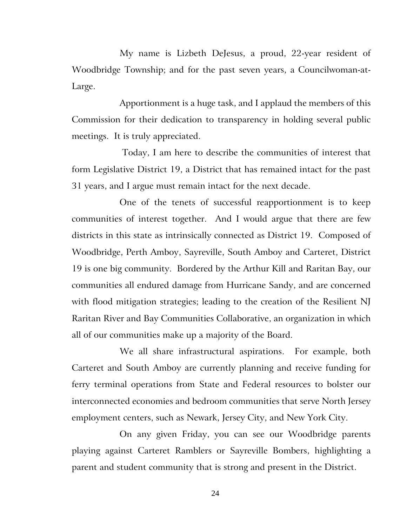My name is Lizbeth DeJesus, a proud, 22-year resident of Woodbridge Township; and for the past seven years, a Councilwoman-at-Large.

Apportionment is a huge task, and I applaud the members of this Commission for their dedication to transparency in holding several public meetings. It is truly appreciated.

Today, I am here to describe the communities of interest that form Legislative District 19, a District that has remained intact for the past 31 years, and I argue must remain intact for the next decade.

One of the tenets of successful reapportionment is to keep communities of interest together. And I would argue that there are few districts in this state as intrinsically connected as District 19. Composed of Woodbridge, Perth Amboy, Sayreville, South Amboy and Carteret, District 19 is one big community. Bordered by the Arthur Kill and Raritan Bay, our communities all endured damage from Hurricane Sandy, and are concerned with flood mitigation strategies; leading to the creation of the Resilient NJ Raritan River and Bay Communities Collaborative, an organization in which all of our communities make up a majority of the Board.

We all share infrastructural aspirations. For example, both Carteret and South Amboy are currently planning and receive funding for ferry terminal operations from State and Federal resources to bolster our interconnected economies and bedroom communities that serve North Jersey employment centers, such as Newark, Jersey City, and New York City.

On any given Friday, you can see our Woodbridge parents playing against Carteret Ramblers or Sayreville Bombers, highlighting a parent and student community that is strong and present in the District.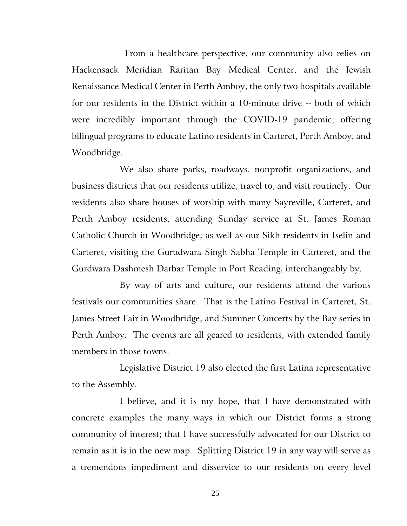From a healthcare perspective, our community also relies on Hackensack Meridian Raritan Bay Medical Center, and the Jewish Renaissance Medical Center in Perth Amboy, the only two hospitals available for our residents in the District within a 10-minute drive -- both of which were incredibly important through the COVID-19 pandemic, offering bilingual programs to educate Latino residents in Carteret, Perth Amboy, and Woodbridge.

We also share parks, roadways, nonprofit organizations, and business districts that our residents utilize, travel to, and visit routinely. Our residents also share houses of worship with many Sayreville, Carteret, and Perth Amboy residents, attending Sunday service at St. James Roman Catholic Church in Woodbridge; as well as our Sikh residents in Iselin and Carteret, visiting the Gurudwara Singh Sabha Temple in Carteret, and the Gurdwara Dashmesh Darbar Temple in Port Reading, interchangeably by.

By way of arts and culture, our residents attend the various festivals our communities share. That is the Latino Festival in Carteret, St. James Street Fair in Woodbridge, and Summer Concerts by the Bay series in Perth Amboy. The events are all geared to residents, with extended family members in those towns.

Legislative District 19 also elected the first Latina representative to the Assembly.

I believe, and it is my hope, that I have demonstrated with concrete examples the many ways in which our District forms a strong community of interest; that I have successfully advocated for our District to remain as it is in the new map. Splitting District 19 in any way will serve as a tremendous impediment and disservice to our residents on every level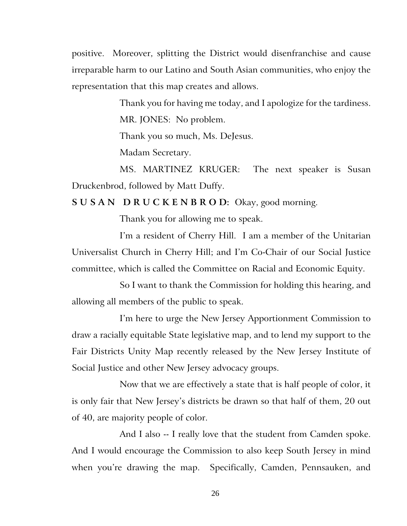positive. Moreover, splitting the District would disenfranchise and cause irreparable harm to our Latino and South Asian communities, who enjoy the representation that this map creates and allows.

> Thank you for having me today, and I apologize for the tardiness. MR. JONES: No problem.

Thank you so much, Ms. DeJesus.

Madam Secretary.

MS. MARTINEZ KRUGER: The next speaker is Susan Druckenbrod, followed by Matt Duffy.

**S U S A N D R U C K E N B R O D:** Okay, good morning.

Thank you for allowing me to speak.

I'm a resident of Cherry Hill. I am a member of the Unitarian Universalist Church in Cherry Hill; and I'm Co-Chair of our Social Justice committee, which is called the Committee on Racial and Economic Equity.

So I want to thank the Commission for holding this hearing, and allowing all members of the public to speak.

I'm here to urge the New Jersey Apportionment Commission to draw a racially equitable State legislative map, and to lend my support to the Fair Districts Unity Map recently released by the New Jersey Institute of Social Justice and other New Jersey advocacy groups.

Now that we are effectively a state that is half people of color, it is only fair that New Jersey's districts be drawn so that half of them, 20 out of 40, are majority people of color.

And I also -- I really love that the student from Camden spoke. And I would encourage the Commission to also keep South Jersey in mind when you're drawing the map. Specifically, Camden, Pennsauken, and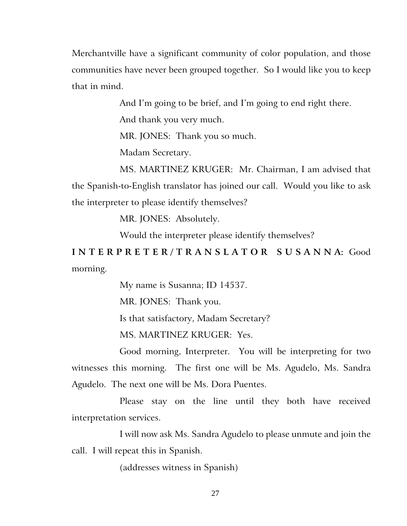Merchantville have a significant community of color population, and those communities have never been grouped together. So I would like you to keep that in mind.

And I'm going to be brief, and I'm going to end right there.

And thank you very much.

MR. JONES: Thank you so much.

Madam Secretary.

MS. MARTINEZ KRUGER: Mr. Chairman, I am advised that the Spanish-to-English translator has joined our call. Would you like to ask the interpreter to please identify themselves?

MR. JONES: Absolutely.

Would the interpreter please identify themselves?

**I N T E R P R E T E R / T R A N S L A T O R S U S A N N A:** Good morning.

My name is Susanna; ID 14537.

MR. JONES: Thank you.

Is that satisfactory, Madam Secretary?

MS. MARTINEZ KRUGER: Yes.

Good morning, Interpreter. You will be interpreting for two witnesses this morning. The first one will be Ms. Agudelo, Ms. Sandra Agudelo. The next one will be Ms. Dora Puentes.

Please stay on the line until they both have received interpretation services.

I will now ask Ms. Sandra Agudelo to please unmute and join the call. I will repeat this in Spanish.

(addresses witness in Spanish)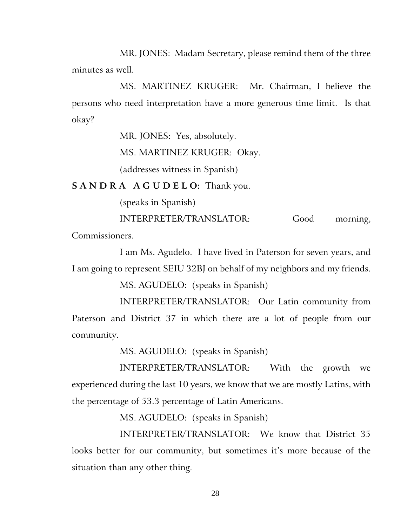MR. JONES: Madam Secretary, please remind them of the three minutes as well.

MS. MARTINEZ KRUGER: Mr. Chairman, I believe the persons who need interpretation have a more generous time limit. Is that okay?

MR. JONES: Yes, absolutely.

MS. MARTINEZ KRUGER: Okay.

(addresses witness in Spanish)

**S A N D R A A G U D E L O:** Thank you.

(speaks in Spanish)

INTERPRETER/TRANSLATOR: Good morning,

Commissioners.

I am Ms. Agudelo. I have lived in Paterson for seven years, and I am going to represent SEIU 32BJ on behalf of my neighbors and my friends.

MS. AGUDELO: (speaks in Spanish)

INTERPRETER/TRANSLATOR: Our Latin community from Paterson and District 37 in which there are a lot of people from our community.

MS. AGUDELO: (speaks in Spanish)

INTERPRETER/TRANSLATOR: With the growth we experienced during the last 10 years, we know that we are mostly Latins, with the percentage of 53.3 percentage of Latin Americans.

MS. AGUDELO: (speaks in Spanish)

INTERPRETER/TRANSLATOR: We know that District 35 looks better for our community, but sometimes it's more because of the situation than any other thing.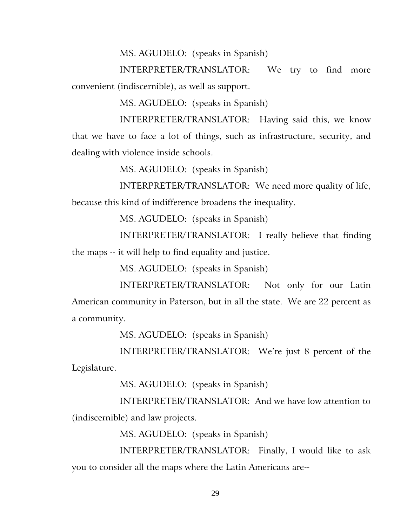MS. AGUDELO: (speaks in Spanish)

INTERPRETER/TRANSLATOR: We try to find more convenient (indiscernible), as well as support.

MS. AGUDELO: (speaks in Spanish)

INTERPRETER/TRANSLATOR: Having said this, we know that we have to face a lot of things, such as infrastructure, security, and dealing with violence inside schools.

MS. AGUDELO: (speaks in Spanish)

INTERPRETER/TRANSLATOR: We need more quality of life, because this kind of indifference broadens the inequality.

MS. AGUDELO: (speaks in Spanish)

INTERPRETER/TRANSLATOR: I really believe that finding the maps -- it will help to find equality and justice.

MS. AGUDELO: (speaks in Spanish)

INTERPRETER/TRANSLATOR: Not only for our Latin American community in Paterson, but in all the state. We are 22 percent as a community.

MS. AGUDELO: (speaks in Spanish)

INTERPRETER/TRANSLATOR: We're just 8 percent of the Legislature.

MS. AGUDELO: (speaks in Spanish)

INTERPRETER/TRANSLATOR: And we have low attention to (indiscernible) and law projects.

MS. AGUDELO: (speaks in Spanish)

INTERPRETER/TRANSLATOR: Finally, I would like to ask you to consider all the maps where the Latin Americans are--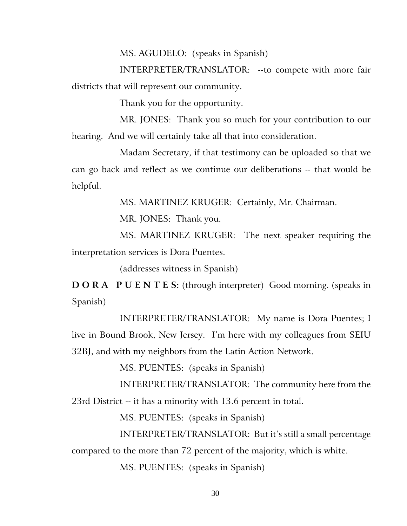MS. AGUDELO: (speaks in Spanish)

INTERPRETER/TRANSLATOR: --to compete with more fair districts that will represent our community.

Thank you for the opportunity.

MR. JONES: Thank you so much for your contribution to our hearing. And we will certainly take all that into consideration.

Madam Secretary, if that testimony can be uploaded so that we can go back and reflect as we continue our deliberations -- that would be helpful.

MS. MARTINEZ KRUGER: Certainly, Mr. Chairman.

MR. JONES: Thank you.

MS. MARTINEZ KRUGER: The next speaker requiring the interpretation services is Dora Puentes.

(addresses witness in Spanish)

**D O R A P U E N T E S:** (through interpreter) Good morning. (speaks in Spanish)

INTERPRETER/TRANSLATOR: My name is Dora Puentes; I live in Bound Brook, New Jersey. I'm here with my colleagues from SEIU 32BJ, and with my neighbors from the Latin Action Network.

MS. PUENTES: (speaks in Spanish)

INTERPRETER/TRANSLATOR: The community here from the 23rd District -- it has a minority with 13.6 percent in total.

MS. PUENTES: (speaks in Spanish)

INTERPRETER/TRANSLATOR: But it's still a small percentage compared to the more than 72 percent of the majority, which is white.

MS. PUENTES: (speaks in Spanish)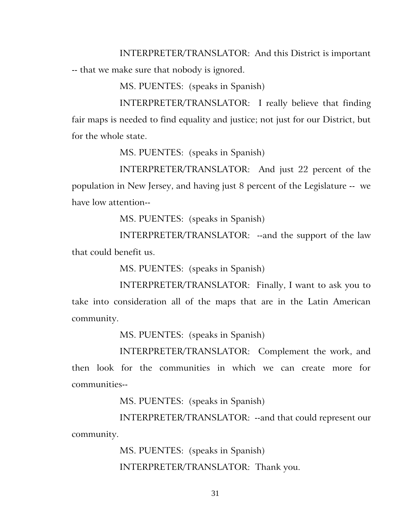INTERPRETER/TRANSLATOR: And this District is important -- that we make sure that nobody is ignored.

MS. PUENTES: (speaks in Spanish)

INTERPRETER/TRANSLATOR: I really believe that finding fair maps is needed to find equality and justice; not just for our District, but for the whole state.

MS. PUENTES: (speaks in Spanish)

INTERPRETER/TRANSLATOR: And just 22 percent of the population in New Jersey, and having just 8 percent of the Legislature -- we have low attention--

MS. PUENTES: (speaks in Spanish)

INTERPRETER/TRANSLATOR: --and the support of the law that could benefit us.

MS. PUENTES: (speaks in Spanish)

INTERPRETER/TRANSLATOR: Finally, I want to ask you to take into consideration all of the maps that are in the Latin American community.

MS. PUENTES: (speaks in Spanish)

INTERPRETER/TRANSLATOR: Complement the work, and then look for the communities in which we can create more for communities--

MS. PUENTES: (speaks in Spanish)

INTERPRETER/TRANSLATOR: --and that could represent our community.

> MS. PUENTES: (speaks in Spanish) INTERPRETER/TRANSLATOR: Thank you.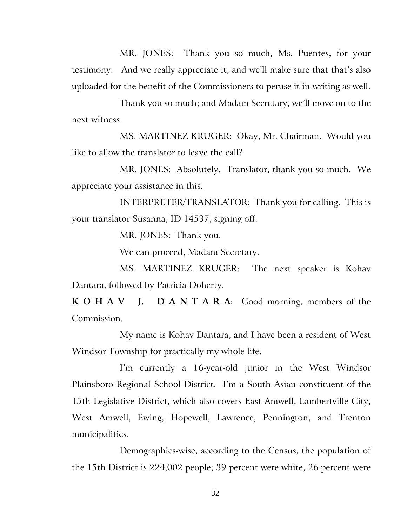MR. JONES: Thank you so much, Ms. Puentes, for your testimony. And we really appreciate it, and we'll make sure that that's also uploaded for the benefit of the Commissioners to peruse it in writing as well.

Thank you so much; and Madam Secretary, we'll move on to the next witness.

MS. MARTINEZ KRUGER: Okay, Mr. Chairman. Would you like to allow the translator to leave the call?

MR. JONES: Absolutely. Translator, thank you so much. We appreciate your assistance in this.

INTERPRETER/TRANSLATOR: Thank you for calling. This is your translator Susanna, ID 14537, signing off.

MR. JONES: Thank you.

We can proceed, Madam Secretary.

MS. MARTINEZ KRUGER: The next speaker is Kohav Dantara, followed by Patricia Doherty.

**K O H A V J. D A N T A R A:** Good morning, members of the Commission.

My name is Kohav Dantara, and I have been a resident of West Windsor Township for practically my whole life.

I'm currently a 16-year-old junior in the West Windsor Plainsboro Regional School District. I'm a South Asian constituent of the 15th Legislative District, which also covers East Amwell, Lambertville City, West Amwell, Ewing, Hopewell, Lawrence, Pennington, and Trenton municipalities.

Demographics-wise, according to the Census, the population of the 15th District is 224,002 people; 39 percent were white, 26 percent were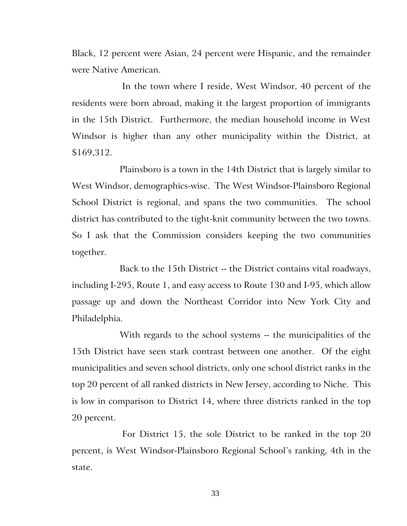Black, 12 percent were Asian, 24 percent were Hispanic, and the remainder were Native American.

In the town where I reside, West Windsor, 40 percent of the residents were born abroad, making it the largest proportion of immigrants in the 15th District. Furthermore, the median household income in West Windsor is higher than any other municipality within the District, at \$169,312.

Plainsboro is a town in the 14th District that is largely similar to West Windsor, demographics-wise. The West Windsor-Plainsboro Regional School District is regional, and spans the two communities. The school district has contributed to the tight-knit community between the two towns. So I ask that the Commission considers keeping the two communities together.

Back to the 15th District -- the District contains vital roadways, including I-295, Route 1, and easy access to Route 130 and I-95, which allow passage up and down the Northeast Corridor into New York City and Philadelphia.

With regards to the school systems -- the municipalities of the 15th District have seen stark contrast between one another. Of the eight municipalities and seven school districts, only one school district ranks in the top 20 percent of all ranked districts in New Jersey, according to Niche. This is low in comparison to District 14, where three districts ranked in the top 20 percent.

For District 15, the sole District to be ranked in the top 20 percent, is West Windsor-Plainsboro Regional School's ranking, 4th in the state.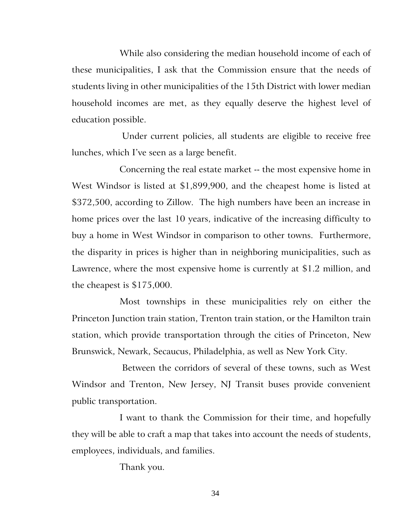While also considering the median household income of each of these municipalities, I ask that the Commission ensure that the needs of students living in other municipalities of the 15th District with lower median household incomes are met, as they equally deserve the highest level of education possible.

Under current policies, all students are eligible to receive free lunches, which I've seen as a large benefit.

Concerning the real estate market -- the most expensive home in West Windsor is listed at \$1,899,900, and the cheapest home is listed at \$372,500, according to Zillow. The high numbers have been an increase in home prices over the last 10 years, indicative of the increasing difficulty to buy a home in West Windsor in comparison to other towns. Furthermore, the disparity in prices is higher than in neighboring municipalities, such as Lawrence, where the most expensive home is currently at \$1.2 million, and the cheapest is \$175,000.

Most townships in these municipalities rely on either the Princeton Junction train station, Trenton train station, or the Hamilton train station, which provide transportation through the cities of Princeton, New Brunswick, Newark, Secaucus, Philadelphia, as well as New York City.

Between the corridors of several of these towns, such as West Windsor and Trenton, New Jersey, NJ Transit buses provide convenient public transportation.

I want to thank the Commission for their time, and hopefully they will be able to craft a map that takes into account the needs of students, employees, individuals, and families.

Thank you.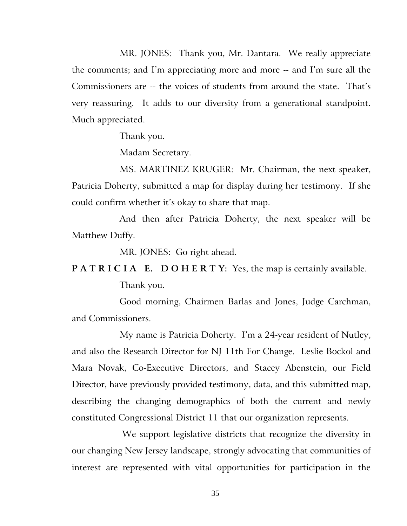MR. JONES: Thank you, Mr. Dantara. We really appreciate the comments; and I'm appreciating more and more -- and I'm sure all the Commissioners are -- the voices of students from around the state. That's very reassuring. It adds to our diversity from a generational standpoint. Much appreciated.

Thank you.

Madam Secretary.

MS. MARTINEZ KRUGER: Mr. Chairman, the next speaker, Patricia Doherty, submitted a map for display during her testimony. If she could confirm whether it's okay to share that map.

And then after Patricia Doherty, the next speaker will be Matthew Duffy.

MR. JONES: Go right ahead.

**PATRICIA E. DOHERTY:** Yes, the map is certainly available.

Thank you.

Good morning, Chairmen Barlas and Jones, Judge Carchman, and Commissioners.

My name is Patricia Doherty. I'm a 24-year resident of Nutley, and also the Research Director for NJ 11th For Change. Leslie Bockol and Mara Novak, Co-Executive Directors, and Stacey Abenstein, our Field Director, have previously provided testimony, data, and this submitted map, describing the changing demographics of both the current and newly constituted Congressional District 11 that our organization represents.

We support legislative districts that recognize the diversity in our changing New Jersey landscape, strongly advocating that communities of interest are represented with vital opportunities for participation in the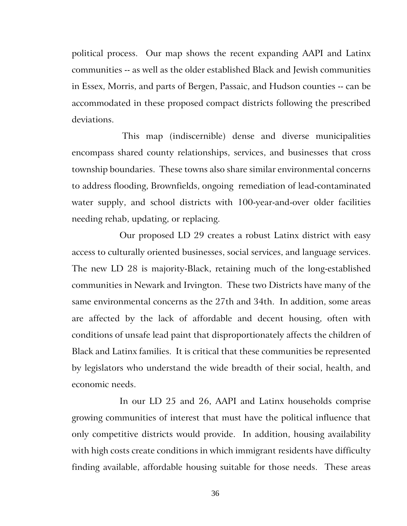political process. Our map shows the recent expanding AAPI and Latinx communities -- as well as the older established Black and Jewish communities in Essex, Morris, and parts of Bergen, Passaic, and Hudson counties -- can be accommodated in these proposed compact districts following the prescribed deviations.

This map (indiscernible) dense and diverse municipalities encompass shared county relationships, services, and businesses that cross township boundaries. These towns also share similar environmental concerns to address flooding, Brownfields, ongoing remediation of lead-contaminated water supply, and school districts with 100-year-and-over older facilities needing rehab, updating, or replacing.

Our proposed LD 29 creates a robust Latinx district with easy access to culturally oriented businesses, social services, and language services. The new LD 28 is majority-Black, retaining much of the long-established communities in Newark and Irvington. These two Districts have many of the same environmental concerns as the 27th and 34th. In addition, some areas are affected by the lack of affordable and decent housing, often with conditions of unsafe lead paint that disproportionately affects the children of Black and Latinx families. It is critical that these communities be represented by legislators who understand the wide breadth of their social, health, and economic needs.

In our LD 25 and 26, AAPI and Latinx households comprise growing communities of interest that must have the political influence that only competitive districts would provide. In addition, housing availability with high costs create conditions in which immigrant residents have difficulty finding available, affordable housing suitable for those needs. These areas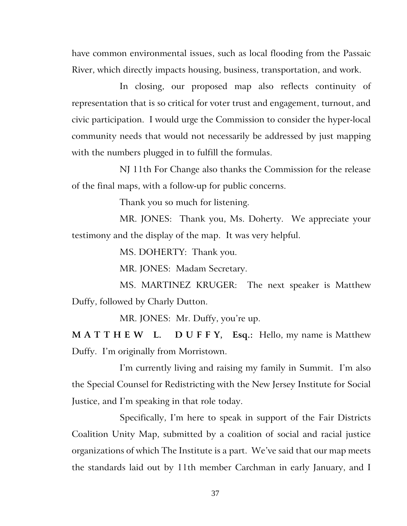have common environmental issues, such as local flooding from the Passaic River, which directly impacts housing, business, transportation, and work.

In closing, our proposed map also reflects continuity of representation that is so critical for voter trust and engagement, turnout, and civic participation. I would urge the Commission to consider the hyper-local community needs that would not necessarily be addressed by just mapping with the numbers plugged in to fulfill the formulas.

NJ 11th For Change also thanks the Commission for the release of the final maps, with a follow-up for public concerns.

Thank you so much for listening.

MR. JONES: Thank you, Ms. Doherty. We appreciate your testimony and the display of the map. It was very helpful.

MS. DOHERTY: Thank you.

MR. JONES: Madam Secretary.

MS. MARTINEZ KRUGER: The next speaker is Matthew Duffy, followed by Charly Dutton.

MR. JONES: Mr. Duffy, you're up.

**M A T T H E W L. D U F F Y, Esq.:** Hello, my name is Matthew Duffy. I'm originally from Morristown.

I'm currently living and raising my family in Summit. I'm also the Special Counsel for Redistricting with the New Jersey Institute for Social Justice, and I'm speaking in that role today.

Specifically, I'm here to speak in support of the Fair Districts Coalition Unity Map, submitted by a coalition of social and racial justice organizations of which The Institute is a part. We've said that our map meets the standards laid out by 11th member Carchman in early January, and I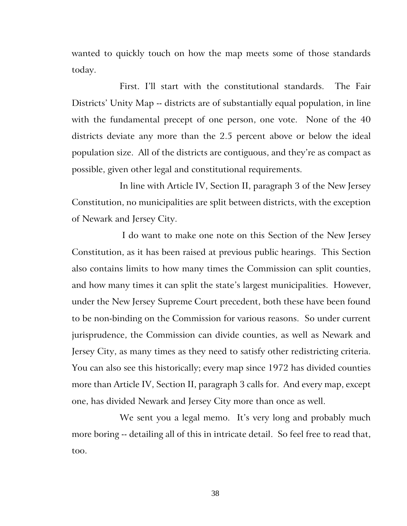wanted to quickly touch on how the map meets some of those standards today.

First. I'll start with the constitutional standards. The Fair Districts' Unity Map -- districts are of substantially equal population, in line with the fundamental precept of one person, one vote. None of the 40 districts deviate any more than the 2.5 percent above or below the ideal population size. All of the districts are contiguous, and they're as compact as possible, given other legal and constitutional requirements.

In line with Article IV, Section II, paragraph 3 of the New Jersey Constitution, no municipalities are split between districts, with the exception of Newark and Jersey City.

I do want to make one note on this Section of the New Jersey Constitution, as it has been raised at previous public hearings. This Section also contains limits to how many times the Commission can split counties, and how many times it can split the state's largest municipalities. However, under the New Jersey Supreme Court precedent, both these have been found to be non-binding on the Commission for various reasons. So under current jurisprudence, the Commission can divide counties, as well as Newark and Jersey City, as many times as they need to satisfy other redistricting criteria. You can also see this historically; every map since 1972 has divided counties more than Article IV, Section II, paragraph 3 calls for. And every map, except one, has divided Newark and Jersey City more than once as well.

We sent you a legal memo. It's very long and probably much more boring -- detailing all of this in intricate detail. So feel free to read that, too.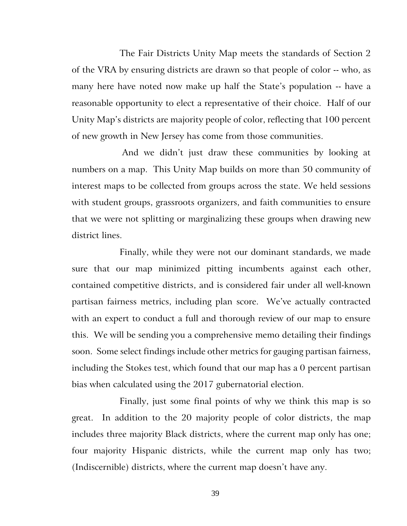The Fair Districts Unity Map meets the standards of Section 2 of the VRA by ensuring districts are drawn so that people of color -- who, as many here have noted now make up half the State's population -- have a reasonable opportunity to elect a representative of their choice. Half of our Unity Map's districts are majority people of color, reflecting that 100 percent of new growth in New Jersey has come from those communities.

And we didn't just draw these communities by looking at numbers on a map. This Unity Map builds on more than 50 community of interest maps to be collected from groups across the state. We held sessions with student groups, grassroots organizers, and faith communities to ensure that we were not splitting or marginalizing these groups when drawing new district lines.

Finally, while they were not our dominant standards, we made sure that our map minimized pitting incumbents against each other, contained competitive districts, and is considered fair under all well-known partisan fairness metrics, including plan score. We've actually contracted with an expert to conduct a full and thorough review of our map to ensure this. We will be sending you a comprehensive memo detailing their findings soon. Some select findings include other metrics for gauging partisan fairness, including the Stokes test, which found that our map has a 0 percent partisan bias when calculated using the 2017 gubernatorial election.

Finally, just some final points of why we think this map is so great. In addition to the 20 majority people of color districts, the map includes three majority Black districts, where the current map only has one; four majority Hispanic districts, while the current map only has two; (Indiscernible) districts, where the current map doesn't have any.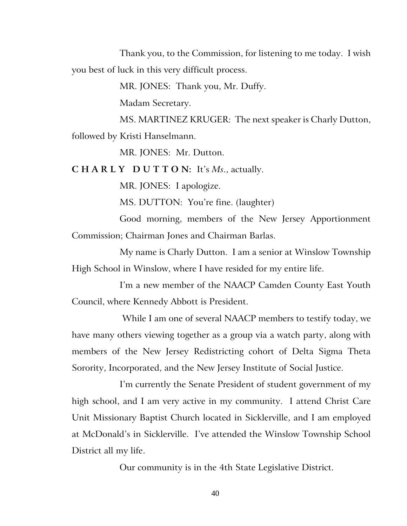Thank you, to the Commission, for listening to me today. I wish you best of luck in this very difficult process.

MR. JONES: Thank you, Mr. Duffy.

Madam Secretary.

MS. MARTINEZ KRUGER: The next speaker is Charly Dutton, followed by Kristi Hanselmann.

MR. JONES: Mr. Dutton.

**C H A R L Y D U T T O N:** It's *Ms*., actually.

MR. JONES: I apologize.

MS. DUTTON: You're fine. (laughter)

Good morning, members of the New Jersey Apportionment Commission; Chairman Jones and Chairman Barlas.

My name is Charly Dutton. I am a senior at Winslow Township High School in Winslow, where I have resided for my entire life.

I'm a new member of the NAACP Camden County East Youth Council, where Kennedy Abbott is President.

While I am one of several NAACP members to testify today, we have many others viewing together as a group via a watch party, along with members of the New Jersey Redistricting cohort of Delta Sigma Theta Sorority, Incorporated, and the New Jersey Institute of Social Justice.

I'm currently the Senate President of student government of my high school, and I am very active in my community. I attend Christ Care Unit Missionary Baptist Church located in Sicklerville, and I am employed at McDonald's in Sicklerville. I've attended the Winslow Township School District all my life.

Our community is in the 4th State Legislative District.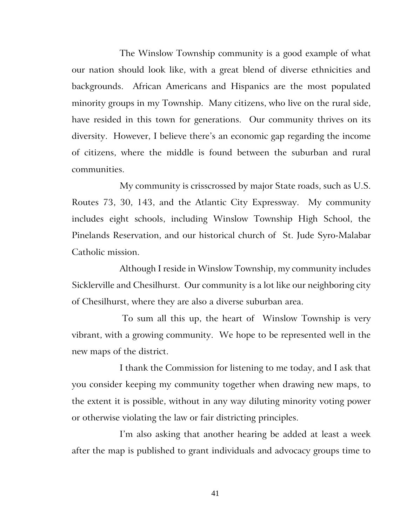The Winslow Township community is a good example of what our nation should look like, with a great blend of diverse ethnicities and backgrounds. African Americans and Hispanics are the most populated minority groups in my Township. Many citizens, who live on the rural side, have resided in this town for generations. Our community thrives on its diversity. However, I believe there's an economic gap regarding the income of citizens, where the middle is found between the suburban and rural communities.

My community is crisscrossed by major State roads, such as U.S. Routes 73, 30, 143, and the Atlantic City Expressway. My community includes eight schools, including Winslow Township High School, the Pinelands Reservation, and our historical church of St. Jude Syro-Malabar Catholic mission.

Although I reside in Winslow Township, my community includes Sicklerville and Chesilhurst. Our community is a lot like our neighboring city of Chesilhurst, where they are also a diverse suburban area.

To sum all this up, the heart of Winslow Township is very vibrant, with a growing community. We hope to be represented well in the new maps of the district.

I thank the Commission for listening to me today, and I ask that you consider keeping my community together when drawing new maps, to the extent it is possible, without in any way diluting minority voting power or otherwise violating the law or fair districting principles.

I'm also asking that another hearing be added at least a week after the map is published to grant individuals and advocacy groups time to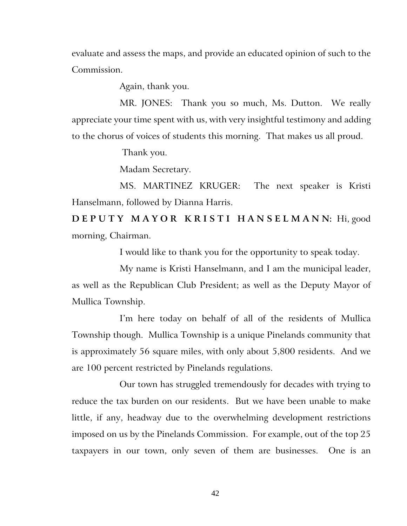evaluate and assess the maps, and provide an educated opinion of such to the Commission.

Again, thank you.

MR. JONES: Thank you so much, Ms. Dutton. We really appreciate your time spent with us, with very insightful testimony and adding to the chorus of voices of students this morning. That makes us all proud.

Thank you.

Madam Secretary.

MS. MARTINEZ KRUGER: The next speaker is Kristi Hanselmann, followed by Dianna Harris.

**D E P U T Y M A Y O R K R I S T I H A N S E L M A N N:** Hi, good morning, Chairman.

I would like to thank you for the opportunity to speak today.

My name is Kristi Hanselmann, and I am the municipal leader, as well as the Republican Club President; as well as the Deputy Mayor of Mullica Township.

I'm here today on behalf of all of the residents of Mullica Township though. Mullica Township is a unique Pinelands community that is approximately 56 square miles, with only about 5,800 residents. And we are 100 percent restricted by Pinelands regulations.

Our town has struggled tremendously for decades with trying to reduce the tax burden on our residents. But we have been unable to make little, if any, headway due to the overwhelming development restrictions imposed on us by the Pinelands Commission. For example, out of the top 25 taxpayers in our town, only seven of them are businesses. One is an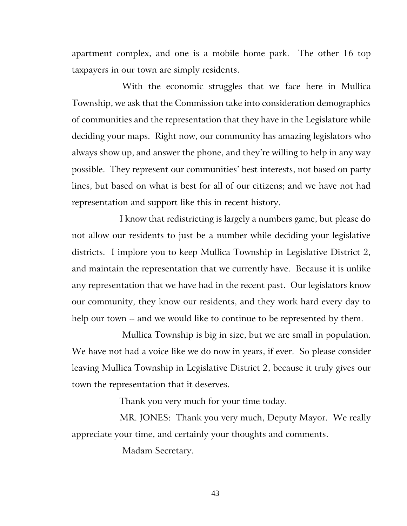apartment complex, and one is a mobile home park. The other 16 top taxpayers in our town are simply residents.

With the economic struggles that we face here in Mullica Township, we ask that the Commission take into consideration demographics of communities and the representation that they have in the Legislature while deciding your maps. Right now, our community has amazing legislators who always show up, and answer the phone, and they're willing to help in any way possible. They represent our communities' best interests, not based on party lines, but based on what is best for all of our citizens; and we have not had representation and support like this in recent history.

I know that redistricting is largely a numbers game, but please do not allow our residents to just be a number while deciding your legislative districts. I implore you to keep Mullica Township in Legislative District 2, and maintain the representation that we currently have. Because it is unlike any representation that we have had in the recent past. Our legislators know our community, they know our residents, and they work hard every day to help our town -- and we would like to continue to be represented by them.

Mullica Township is big in size, but we are small in population. We have not had a voice like we do now in years, if ever. So please consider leaving Mullica Township in Legislative District 2, because it truly gives our town the representation that it deserves.

Thank you very much for your time today.

MR. JONES: Thank you very much, Deputy Mayor. We really appreciate your time, and certainly your thoughts and comments.

Madam Secretary.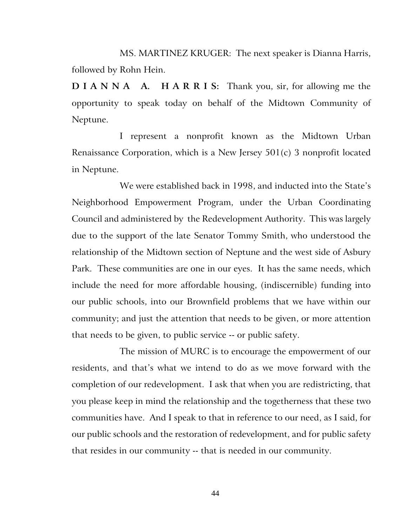MS. MARTINEZ KRUGER: The next speaker is Dianna Harris, followed by Rohn Hein.

**D I A N N A A. H A R R I S:** Thank you, sir, for allowing me the opportunity to speak today on behalf of the Midtown Community of Neptune.

I represent a nonprofit known as the Midtown Urban Renaissance Corporation, which is a New Jersey 501(c) 3 nonprofit located in Neptune.

We were established back in 1998, and inducted into the State's Neighborhood Empowerment Program, under the Urban Coordinating Council and administered by the Redevelopment Authority. This was largely due to the support of the late Senator Tommy Smith, who understood the relationship of the Midtown section of Neptune and the west side of Asbury Park. These communities are one in our eyes. It has the same needs, which include the need for more affordable housing, (indiscernible) funding into our public schools, into our Brownfield problems that we have within our community; and just the attention that needs to be given, or more attention that needs to be given, to public service -- or public safety.

The mission of MURC is to encourage the empowerment of our residents, and that's what we intend to do as we move forward with the completion of our redevelopment. I ask that when you are redistricting, that you please keep in mind the relationship and the togetherness that these two communities have. And I speak to that in reference to our need, as I said, for our public schools and the restoration of redevelopment, and for public safety that resides in our community -- that is needed in our community.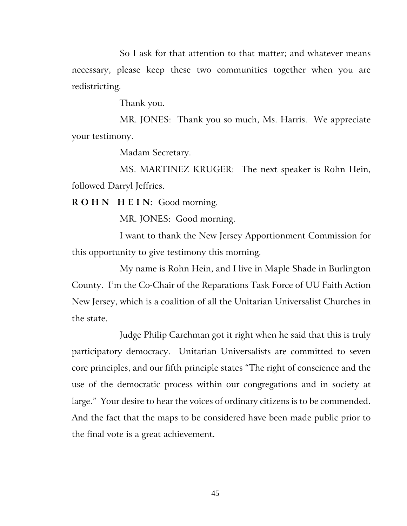So I ask for that attention to that matter; and whatever means necessary, please keep these two communities together when you are redistricting.

Thank you.

MR. JONES: Thank you so much, Ms. Harris. We appreciate your testimony.

Madam Secretary.

MS. MARTINEZ KRUGER: The next speaker is Rohn Hein, followed Darryl Jeffries.

**R O H N H E I N:** Good morning.

MR. JONES: Good morning.

I want to thank the New Jersey Apportionment Commission for this opportunity to give testimony this morning.

My name is Rohn Hein, and I live in Maple Shade in Burlington County. I'm the Co-Chair of the Reparations Task Force of UU Faith Action New Jersey, which is a coalition of all the Unitarian Universalist Churches in the state.

Judge Philip Carchman got it right when he said that this is truly participatory democracy. Unitarian Universalists are committed to seven core principles, and our fifth principle states "The right of conscience and the use of the democratic process within our congregations and in society at large." Your desire to hear the voices of ordinary citizens is to be commended. And the fact that the maps to be considered have been made public prior to the final vote is a great achievement.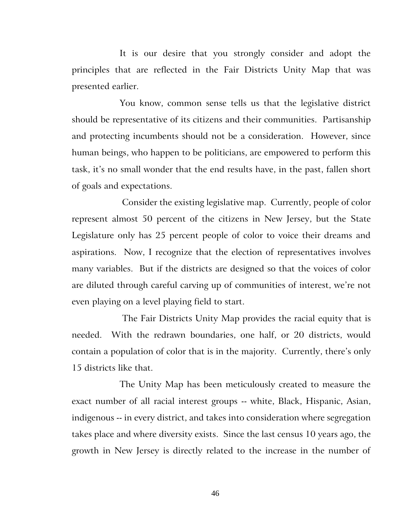It is our desire that you strongly consider and adopt the principles that are reflected in the Fair Districts Unity Map that was presented earlier.

You know, common sense tells us that the legislative district should be representative of its citizens and their communities. Partisanship and protecting incumbents should not be a consideration. However, since human beings, who happen to be politicians, are empowered to perform this task, it's no small wonder that the end results have, in the past, fallen short of goals and expectations.

Consider the existing legislative map. Currently, people of color represent almost 50 percent of the citizens in New Jersey, but the State Legislature only has 25 percent people of color to voice their dreams and aspirations. Now, I recognize that the election of representatives involves many variables. But if the districts are designed so that the voices of color are diluted through careful carving up of communities of interest, we're not even playing on a level playing field to start.

The Fair Districts Unity Map provides the racial equity that is needed. With the redrawn boundaries, one half, or 20 districts, would contain a population of color that is in the majority. Currently, there's only 15 districts like that.

The Unity Map has been meticulously created to measure the exact number of all racial interest groups -- white, Black, Hispanic, Asian, indigenous -- in every district, and takes into consideration where segregation takes place and where diversity exists. Since the last census 10 years ago, the growth in New Jersey is directly related to the increase in the number of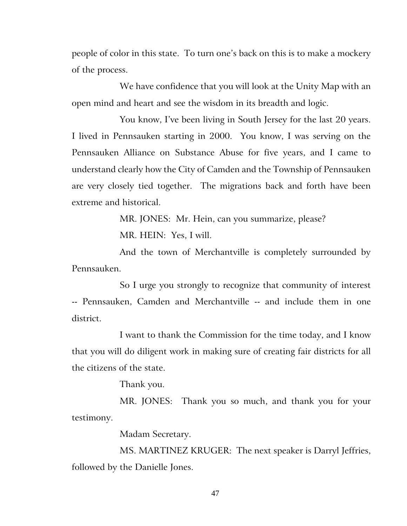people of color in this state. To turn one's back on this is to make a mockery of the process.

We have confidence that you will look at the Unity Map with an open mind and heart and see the wisdom in its breadth and logic.

You know, I've been living in South Jersey for the last 20 years. I lived in Pennsauken starting in 2000. You know, I was serving on the Pennsauken Alliance on Substance Abuse for five years, and I came to understand clearly how the City of Camden and the Township of Pennsauken are very closely tied together. The migrations back and forth have been extreme and historical.

> MR. JONES: Mr. Hein, can you summarize, please? MR. HEIN: Yes, I will.

And the town of Merchantville is completely surrounded by Pennsauken.

So I urge you strongly to recognize that community of interest -- Pennsauken, Camden and Merchantville -- and include them in one district.

I want to thank the Commission for the time today, and I know that you will do diligent work in making sure of creating fair districts for all the citizens of the state.

Thank you.

MR. JONES: Thank you so much, and thank you for your testimony.

Madam Secretary.

MS. MARTINEZ KRUGER: The next speaker is Darryl Jeffries, followed by the Danielle Jones.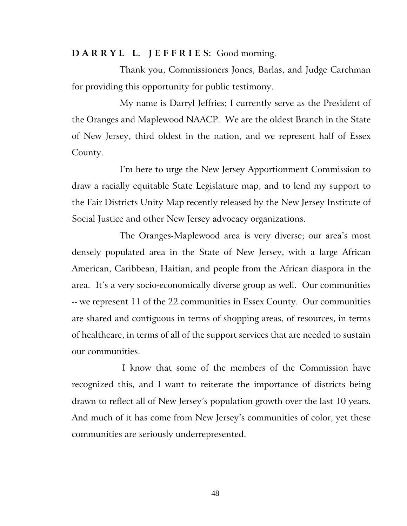## **D A R R Y L L. J E F F R I E S:** Good morning.

Thank you, Commissioners Jones, Barlas, and Judge Carchman for providing this opportunity for public testimony.

My name is Darryl Jeffries; I currently serve as the President of the Oranges and Maplewood NAACP. We are the oldest Branch in the State of New Jersey, third oldest in the nation, and we represent half of Essex County.

I'm here to urge the New Jersey Apportionment Commission to draw a racially equitable State Legislature map, and to lend my support to the Fair Districts Unity Map recently released by the New Jersey Institute of Social Justice and other New Jersey advocacy organizations.

The Oranges-Maplewood area is very diverse; our area's most densely populated area in the State of New Jersey, with a large African American, Caribbean, Haitian, and people from the African diaspora in the area. It's a very socio-economically diverse group as well. Our communities -- we represent 11 of the 22 communities in Essex County. Our communities are shared and contiguous in terms of shopping areas, of resources, in terms of healthcare, in terms of all of the support services that are needed to sustain our communities.

I know that some of the members of the Commission have recognized this, and I want to reiterate the importance of districts being drawn to reflect all of New Jersey's population growth over the last 10 years. And much of it has come from New Jersey's communities of color, yet these communities are seriously underrepresented.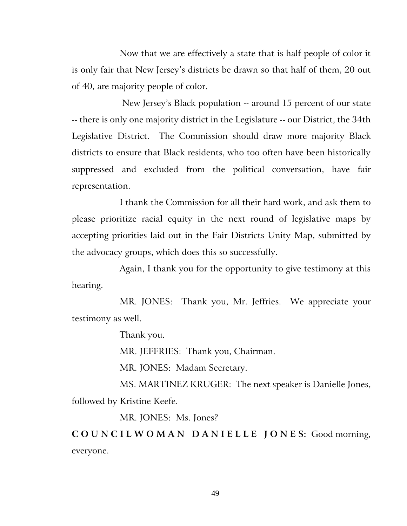Now that we are effectively a state that is half people of color it is only fair that New Jersey's districts be drawn so that half of them, 20 out of 40, are majority people of color.

New Jersey's Black population -- around 15 percent of our state -- there is only one majority district in the Legislature -- our District, the 34th Legislative District. The Commission should draw more majority Black districts to ensure that Black residents, who too often have been historically suppressed and excluded from the political conversation, have fair representation.

I thank the Commission for all their hard work, and ask them to please prioritize racial equity in the next round of legislative maps by accepting priorities laid out in the Fair Districts Unity Map, submitted by the advocacy groups, which does this so successfully.

Again, I thank you for the opportunity to give testimony at this hearing.

MR. JONES: Thank you, Mr. Jeffries. We appreciate your testimony as well.

Thank you.

MR. JEFFRIES: Thank you, Chairman.

MR. JONES: Madam Secretary.

MS. MARTINEZ KRUGER: The next speaker is Danielle Jones, followed by Kristine Keefe.

MR. JONES: Ms. Jones?

**C O U N C I L W O M A N D A N I E L L E J O N E S:** Good morning, everyone.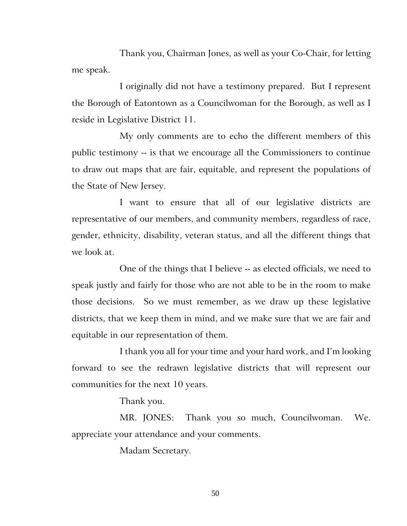Thank you, Chairman Jones, as well as your Co-Chair, for letting me speak.

I originally did not have a testimony prepared. But I represent the Borough of Eatontown as a Councilwoman for the Borough, as well as I reside in Legislative District 11.

My only comments are to echo the different members of this public testimony -- is that we encourage all the Commissioners to continue to draw out maps that are fair, equitable, and represent the populations of the State of New Jersey.

I want to ensure that all of our legislative districts are representative of our members, and community members, regardless of race, gender, ethnicity, disability, veteran status, and all the different things that we look at.

One of the things that I believe -- as elected officials, we need to speak justly and fairly for those who are not able to be in the room to make those decisions. So we must remember, as we draw up these legislative districts, that we keep them in mind, and we make sure that we are fair and equitable in our representation of them.

I thank you all for your time and your hard work, and I'm looking forward to see the redrawn legislative districts that will represent our communities for the next 10 years.

Thank you.

MR. JONES: Thank you so much, Councilwoman. We. appreciate your attendance and your comments.

Madam Secretary.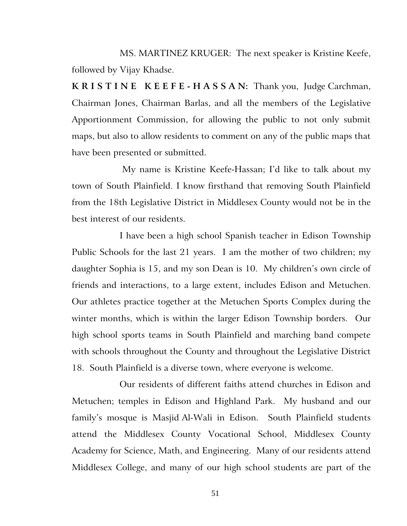MS. MARTINEZ KRUGER: The next speaker is Kristine Keefe, followed by Vijay Khadse.

**K R I S T I N E K E E F E - H A S S A N:** Thank you, Judge Carchman, Chairman Jones, Chairman Barlas, and all the members of the Legislative Apportionment Commission, for allowing the public to not only submit maps, but also to allow residents to comment on any of the public maps that have been presented or submitted.

My name is Kristine Keefe-Hassan; I'd like to talk about my town of South Plainfield. I know firsthand that removing South Plainfield from the 18th Legislative District in Middlesex County would not be in the best interest of our residents.

I have been a high school Spanish teacher in Edison Township Public Schools for the last 21 years. I am the mother of two children; my daughter Sophia is 15, and my son Dean is 10. My children's own circle of friends and interactions, to a large extent, includes Edison and Metuchen. Our athletes practice together at the Metuchen Sports Complex during the winter months, which is within the larger Edison Township borders. Our high school sports teams in South Plainfield and marching band compete with schools throughout the County and throughout the Legislative District 18. South Plainfield is a diverse town, where everyone is welcome.

Our residents of different faiths attend churches in Edison and Metuchen; temples in Edison and Highland Park. My husband and our family's mosque is Masjid Al-Wali in Edison. South Plainfield students attend the Middlesex County Vocational School, Middlesex County Academy for Science, Math, and Engineering. Many of our residents attend Middlesex College, and many of our high school students are part of the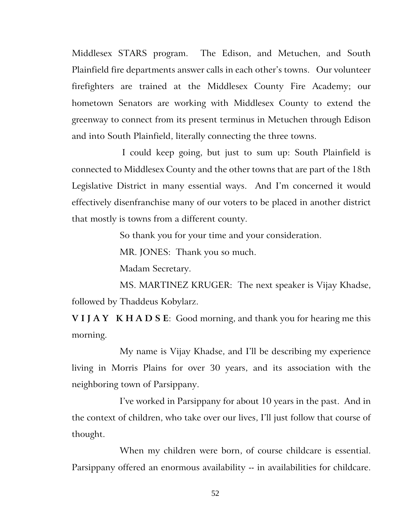Middlesex STARS program. The Edison, and Metuchen, and South Plainfield fire departments answer calls in each other's towns. Our volunteer firefighters are trained at the Middlesex County Fire Academy; our hometown Senators are working with Middlesex County to extend the greenway to connect from its present terminus in Metuchen through Edison and into South Plainfield, literally connecting the three towns.

I could keep going, but just to sum up: South Plainfield is connected to Middlesex County and the other towns that are part of the 18th Legislative District in many essential ways. And I'm concerned it would effectively disenfranchise many of our voters to be placed in another district that mostly is towns from a different county.

So thank you for your time and your consideration.

MR. JONES: Thank you so much.

Madam Secretary.

MS. MARTINEZ KRUGER: The next speaker is Vijay Khadse, followed by Thaddeus Kobylarz.

**V I J A Y K H A D S E**: Good morning, and thank you for hearing me this morning.

My name is Vijay Khadse, and I'll be describing my experience living in Morris Plains for over 30 years, and its association with the neighboring town of Parsippany.

I've worked in Parsippany for about 10 years in the past. And in the context of children, who take over our lives, I'll just follow that course of thought.

When my children were born, of course childcare is essential. Parsippany offered an enormous availability -- in availabilities for childcare.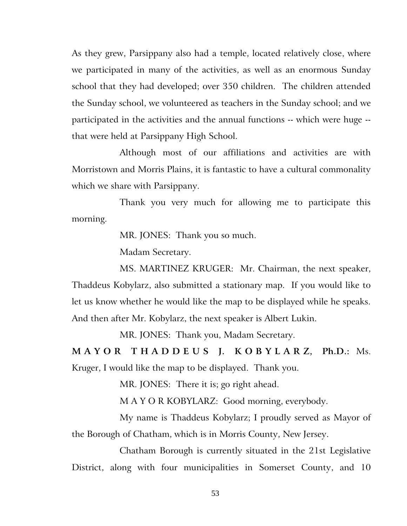As they grew, Parsippany also had a temple, located relatively close, where we participated in many of the activities, as well as an enormous Sunday school that they had developed; over 350 children. The children attended the Sunday school, we volunteered as teachers in the Sunday school; and we participated in the activities and the annual functions -- which were huge - that were held at Parsippany High School.

Although most of our affiliations and activities are with Morristown and Morris Plains, it is fantastic to have a cultural commonality which we share with Parsippany.

Thank you very much for allowing me to participate this morning.

MR. JONES: Thank you so much.

Madam Secretary.

MS. MARTINEZ KRUGER: Mr. Chairman, the next speaker, Thaddeus Kobylarz, also submitted a stationary map. If you would like to let us know whether he would like the map to be displayed while he speaks. And then after Mr. Kobylarz, the next speaker is Albert Lukin.

MR. JONES: Thank you, Madam Secretary.

**M A Y O R T H A D D E U S J. K O B Y L A R Z, Ph.D.:** Ms. Kruger, I would like the map to be displayed. Thank you.

MR. JONES:There it is; go right ahead.

M A Y O R KOBYLARZ: Good morning, everybody.

My name is Thaddeus Kobylarz; I proudly served as Mayor of the Borough of Chatham, which is in Morris County, New Jersey.

Chatham Borough is currently situated in the 21st Legislative District, along with four municipalities in Somerset County, and 10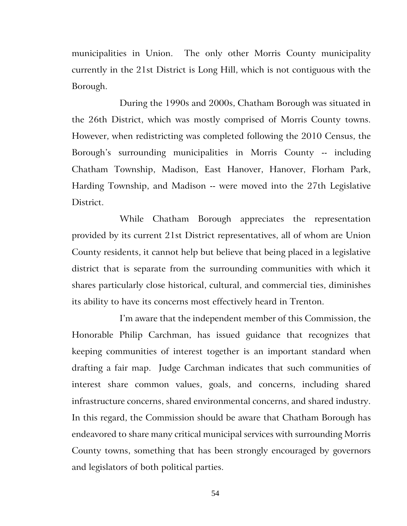municipalities in Union. The only other Morris County municipality currently in the 21st District is Long Hill, which is not contiguous with the Borough.

During the 1990s and 2000s, Chatham Borough was situated in the 26th District, which was mostly comprised of Morris County towns. However, when redistricting was completed following the 2010 Census, the Borough's surrounding municipalities in Morris County -- including Chatham Township, Madison, East Hanover, Hanover, Florham Park, Harding Township, and Madison -- were moved into the 27th Legislative District.

While Chatham Borough appreciates the representation provided by its current 21st District representatives, all of whom are Union County residents, it cannot help but believe that being placed in a legislative district that is separate from the surrounding communities with which it shares particularly close historical, cultural, and commercial ties, diminishes its ability to have its concerns most effectively heard in Trenton.

I'm aware that the independent member of this Commission, the Honorable Philip Carchman, has issued guidance that recognizes that keeping communities of interest together is an important standard when drafting a fair map. Judge Carchman indicates that such communities of interest share common values, goals, and concerns, including shared infrastructure concerns, shared environmental concerns, and shared industry. In this regard, the Commission should be aware that Chatham Borough has endeavored to share many critical municipal services with surrounding Morris County towns, something that has been strongly encouraged by governors and legislators of both political parties.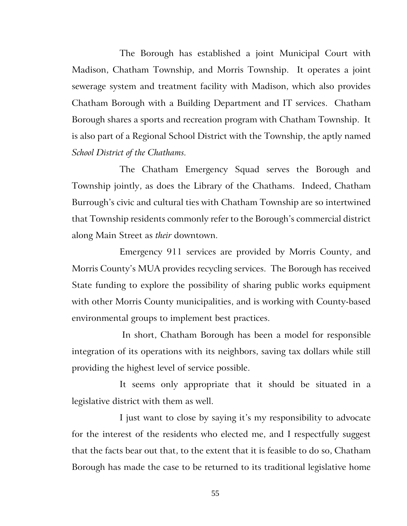The Borough has established a joint Municipal Court with Madison, Chatham Township, and Morris Township. It operates a joint sewerage system and treatment facility with Madison, which also provides Chatham Borough with a Building Department and IT services. Chatham Borough shares a sports and recreation program with Chatham Township. It is also part of a Regional School District with the Township, the aptly named *School District of the Chathams.*

The Chatham Emergency Squad serves the Borough and Township jointly, as does the Library of the Chathams. Indeed, Chatham Burrough's civic and cultural ties with Chatham Township are so intertwined that Township residents commonly refer to the Borough's commercial district along Main Street as *their* downtown.

Emergency 911 services are provided by Morris County, and Morris County's MUA provides recycling services. The Borough has received State funding to explore the possibility of sharing public works equipment with other Morris County municipalities, and is working with County-based environmental groups to implement best practices.

In short, Chatham Borough has been a model for responsible integration of its operations with its neighbors, saving tax dollars while still providing the highest level of service possible.

It seems only appropriate that it should be situated in a legislative district with them as well.

I just want to close by saying it's my responsibility to advocate for the interest of the residents who elected me, and I respectfully suggest that the facts bear out that, to the extent that it is feasible to do so, Chatham Borough has made the case to be returned to its traditional legislative home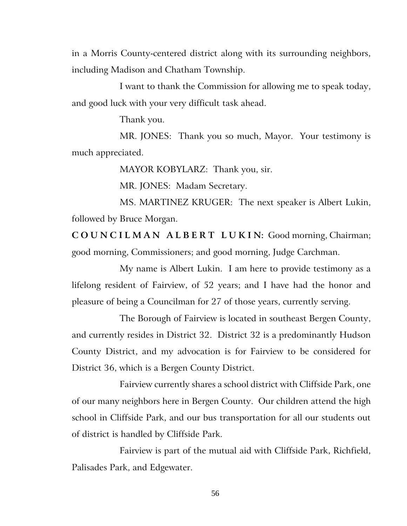in a Morris County-centered district along with its surrounding neighbors, including Madison and Chatham Township.

I want to thank the Commission for allowing me to speak today, and good luck with your very difficult task ahead.

Thank you.

MR. JONES: Thank you so much, Mayor. Your testimony is much appreciated.

MAYOR KOBYLARZ: Thank you, sir.

MR. JONES: Madam Secretary.

MS. MARTINEZ KRUGER: The next speaker is Albert Lukin, followed by Bruce Morgan.

**C O U N C I L M A N A L B E R T L U K I N:** Good morning, Chairman; good morning, Commissioners; and good morning, Judge Carchman.

My name is Albert Lukin. I am here to provide testimony as a lifelong resident of Fairview, of 52 years; and I have had the honor and pleasure of being a Councilman for 27 of those years, currently serving.

The Borough of Fairview is located in southeast Bergen County, and currently resides in District 32. District 32 is a predominantly Hudson County District, and my advocation is for Fairview to be considered for District 36, which is a Bergen County District.

Fairview currently shares a school district with Cliffside Park, one of our many neighbors here in Bergen County. Our children attend the high school in Cliffside Park, and our bus transportation for all our students out of district is handled by Cliffside Park.

Fairview is part of the mutual aid with Cliffside Park, Richfield, Palisades Park, and Edgewater.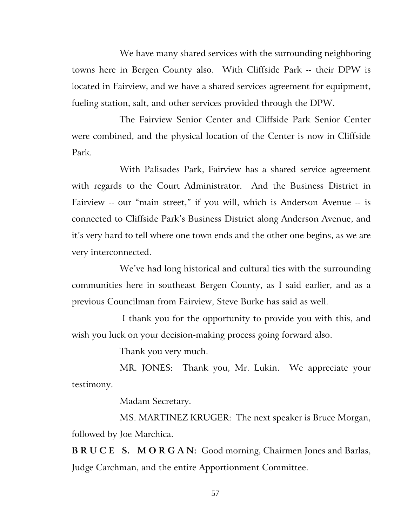We have many shared services with the surrounding neighboring towns here in Bergen County also. With Cliffside Park -- their DPW is located in Fairview, and we have a shared services agreement for equipment, fueling station, salt, and other services provided through the DPW.

The Fairview Senior Center and Cliffside Park Senior Center were combined, and the physical location of the Center is now in Cliffside Park.

With Palisades Park, Fairview has a shared service agreement with regards to the Court Administrator. And the Business District in Fairview -- our "main street," if you will, which is Anderson Avenue -- is connected to Cliffside Park's Business District along Anderson Avenue, and it's very hard to tell where one town ends and the other one begins, as we are very interconnected.

We've had long historical and cultural ties with the surrounding communities here in southeast Bergen County, as I said earlier, and as a previous Councilman from Fairview, Steve Burke has said as well.

I thank you for the opportunity to provide you with this, and wish you luck on your decision-making process going forward also.

Thank you very much.

MR. JONES: Thank you, Mr. Lukin. We appreciate your testimony.

Madam Secretary.

MS. MARTINEZ KRUGER: The next speaker is Bruce Morgan, followed by Joe Marchica.

**B R U C E S. M O R G A N:** Good morning, Chairmen Jones and Barlas, Judge Carchman, and the entire Apportionment Committee.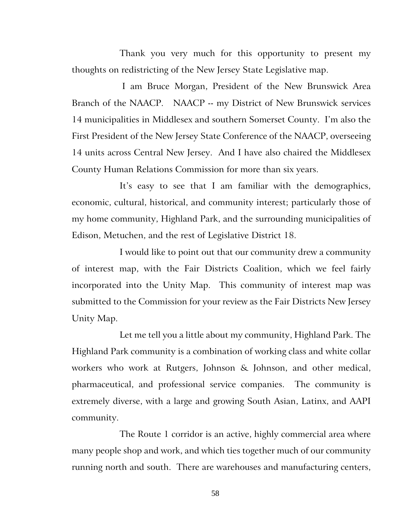Thank you very much for this opportunity to present my thoughts on redistricting of the New Jersey State Legislative map.

I am Bruce Morgan, President of the New Brunswick Area Branch of the NAACP. NAACP -- my District of New Brunswick services 14 municipalities in Middlesex and southern Somerset County. I'm also the First President of the New Jersey State Conference of the NAACP, overseeing 14 units across Central New Jersey. And I have also chaired the Middlesex County Human Relations Commission for more than six years.

It's easy to see that I am familiar with the demographics, economic, cultural, historical, and community interest; particularly those of my home community, Highland Park, and the surrounding municipalities of Edison, Metuchen, and the rest of Legislative District 18.

I would like to point out that our community drew a community of interest map, with the Fair Districts Coalition, which we feel fairly incorporated into the Unity Map. This community of interest map was submitted to the Commission for your review as the Fair Districts New Jersey Unity Map.

Let me tell you a little about my community, Highland Park. The Highland Park community is a combination of working class and white collar workers who work at Rutgers, Johnson & Johnson, and other medical, pharmaceutical, and professional service companies. The community is extremely diverse, with a large and growing South Asian, Latinx, and AAPI community.

The Route 1 corridor is an active, highly commercial area where many people shop and work, and which ties together much of our community running north and south. There are warehouses and manufacturing centers,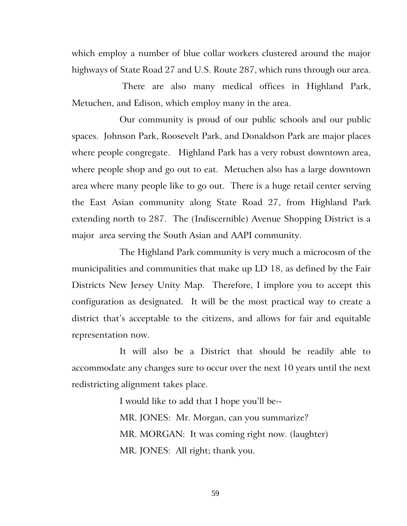which employ a number of blue collar workers clustered around the major highways of State Road 27 and U.S. Route 287, which runs through our area.

There are also many medical offices in Highland Park, Metuchen, and Edison, which employ many in the area.

Our community is proud of our public schools and our public spaces. Johnson Park, Roosevelt Park, and Donaldson Park are major places where people congregate. Highland Park has a very robust downtown area, where people shop and go out to eat. Metuchen also has a large downtown area where many people like to go out. There is a huge retail center serving the East Asian community along State Road 27, from Highland Park extending north to 287. The (Indiscernible) Avenue Shopping District is a major area serving the South Asian and AAPI community.

The Highland Park community is very much a microcosm of the municipalities and communities that make up LD 18, as defined by the Fair Districts New Jersey Unity Map. Therefore, I implore you to accept this configuration as designated. It will be the most practical way to create a district that's acceptable to the citizens, and allows for fair and equitable representation now.

It will also be a District that should be readily able to accommodate any changes sure to occur over the next 10 years until the next redistricting alignment takes place.

> I would like to add that I hope you'll be-- MR. JONES: Mr. Morgan, can you summarize? MR. MORGAN: It was coming right now. (laughter) MR. JONES: All right; thank you.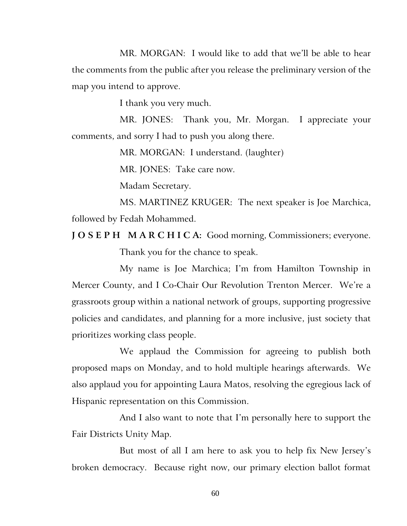MR. MORGAN: I would like to add that we'll be able to hear the comments from the public after you release the preliminary version of the map you intend to approve.

I thank you very much.

MR. JONES: Thank you, Mr. Morgan. I appreciate your comments, and sorry I had to push you along there.

MR. MORGAN: I understand. (laughter)

MR. JONES: Take care now.

Madam Secretary.

MS. MARTINEZ KRUGER: The next speaker is Joe Marchica, followed by Fedah Mohammed.

**J O S E P H M A R C H I C A:** Good morning, Commissioners; everyone. Thank you for the chance to speak.

My name is Joe Marchica; I'm from Hamilton Township in Mercer County, and I Co-Chair Our Revolution Trenton Mercer. We're a grassroots group within a national network of groups, supporting progressive policies and candidates, and planning for a more inclusive, just society that prioritizes working class people.

We applaud the Commission for agreeing to publish both proposed maps on Monday, and to hold multiple hearings afterwards. We also applaud you for appointing Laura Matos, resolving the egregious lack of Hispanic representation on this Commission.

And I also want to note that I'm personally here to support the Fair Districts Unity Map.

But most of all I am here to ask you to help fix New Jersey's broken democracy. Because right now, our primary election ballot format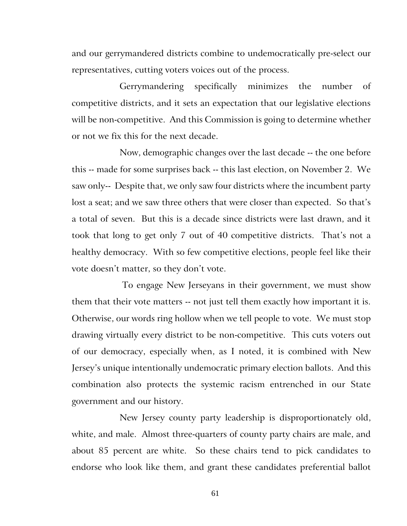and our gerrymandered districts combine to undemocratically pre-select our representatives, cutting voters voices out of the process.

Gerrymandering specifically minimizes the number of competitive districts, and it sets an expectation that our legislative elections will be non-competitive. And this Commission is going to determine whether or not we fix this for the next decade.

Now, demographic changes over the last decade -- the one before this -- made for some surprises back -- this last election, on November 2. We saw only-- Despite that, we only saw four districts where the incumbent party lost a seat; and we saw three others that were closer than expected. So that's a total of seven. But this is a decade since districts were last drawn, and it took that long to get only 7 out of 40 competitive districts. That's not a healthy democracy. With so few competitive elections, people feel like their vote doesn't matter, so they don't vote.

To engage New Jerseyans in their government, we must show them that their vote matters -- not just tell them exactly how important it is. Otherwise, our words ring hollow when we tell people to vote. We must stop drawing virtually every district to be non-competitive. This cuts voters out of our democracy, especially when, as I noted, it is combined with New Jersey's unique intentionally undemocratic primary election ballots. And this combination also protects the systemic racism entrenched in our State government and our history.

New Jersey county party leadership is disproportionately old, white, and male. Almost three-quarters of county party chairs are male, and about 85 percent are white. So these chairs tend to pick candidates to endorse who look like them, and grant these candidates preferential ballot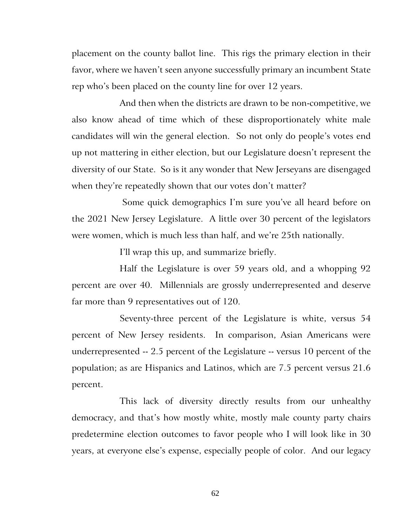placement on the county ballot line. This rigs the primary election in their favor, where we haven't seen anyone successfully primary an incumbent State rep who's been placed on the county line for over 12 years.

And then when the districts are drawn to be non-competitive, we also know ahead of time which of these disproportionately white male candidates will win the general election. So not only do people's votes end up not mattering in either election, but our Legislature doesn't represent the diversity of our State. So is it any wonder that New Jerseyans are disengaged when they're repeatedly shown that our votes don't matter?

Some quick demographics I'm sure you've all heard before on the 2021 New Jersey Legislature. A little over 30 percent of the legislators were women, which is much less than half, and we're 25th nationally.

I'll wrap this up, and summarize briefly.

Half the Legislature is over 59 years old, and a whopping 92 percent are over 40. Millennials are grossly underrepresented and deserve far more than 9 representatives out of 120.

Seventy-three percent of the Legislature is white, versus 54 percent of New Jersey residents. In comparison, Asian Americans were underrepresented -- 2.5 percent of the Legislature -- versus 10 percent of the population; as are Hispanics and Latinos, which are 7.5 percent versus 21.6 percent.

This lack of diversity directly results from our unhealthy democracy, and that's how mostly white, mostly male county party chairs predetermine election outcomes to favor people who I will look like in 30 years, at everyone else's expense, especially people of color. And our legacy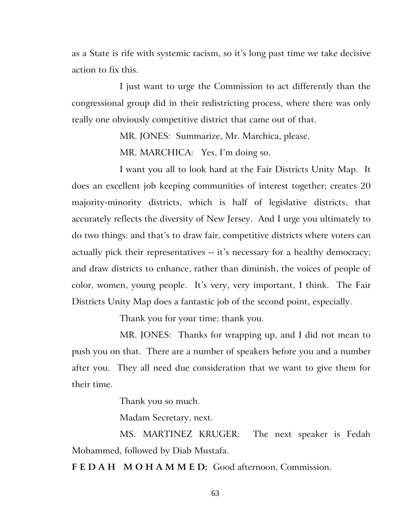as a State is rife with systemic racism, so it's long past time we take decisive action to fix this.

I just want to urge the Commission to act differently than the congressional group did in their redistricting process, where there was only really one obviously competitive district that came out of that.

MR. JONES: Summarize, Mr. Marchica, please.

MR. MARCHICA: Yes, I'm doing so.

I want you all to look hard at the Fair Districts Unity Map. It does an excellent job keeping communities of interest together; creates 20 majority-minority districts, which is half of legislative districts, that accurately reflects the diversity of New Jersey. And I urge you ultimately to do two things: and that's to draw fair, competitive districts where voters can actually pick their representatives -- it's necessary for a healthy democracy; and draw districts to enhance, rather than diminish, the voices of people of color, women, young people. It's very, very important, I think. The Fair Districts Unity Map does a fantastic job of the second point, especially.

Thank you for your time; thank you.

MR. JONES: Thanks for wrapping up, and I did not mean to push you on that. There are a number of speakers before you and a number after you. They all need due consideration that we want to give them for their time.

Thank you so much.

Madam Secretary, next.

MS. MARTINEZ KRUGER: The next speaker is Fedah Mohammed, followed by Diab Mustafa.

**F E D A H M O H A M M E D:** Good afternoon, Commission.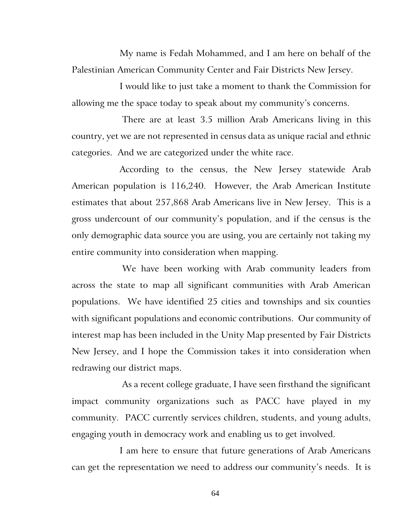My name is Fedah Mohammed, and I am here on behalf of the Palestinian American Community Center and Fair Districts New Jersey.

I would like to just take a moment to thank the Commission for allowing me the space today to speak about my community's concerns.

There are at least 3.5 million Arab Americans living in this country, yet we are not represented in census data as unique racial and ethnic categories. And we are categorized under the white race.

According to the census, the New Jersey statewide Arab American population is 116,240. However, the Arab American Institute estimates that about 257,868 Arab Americans live in New Jersey. This is a gross undercount of our community's population, and if the census is the only demographic data source you are using, you are certainly not taking my entire community into consideration when mapping.

We have been working with Arab community leaders from across the state to map all significant communities with Arab American populations. We have identified 25 cities and townships and six counties with significant populations and economic contributions. Our community of interest map has been included in the Unity Map presented by Fair Districts New Jersey, and I hope the Commission takes it into consideration when redrawing our district maps.

As a recent college graduate, I have seen firsthand the significant impact community organizations such as PACC have played in my community. PACC currently services children, students, and young adults, engaging youth in democracy work and enabling us to get involved.

I am here to ensure that future generations of Arab Americans can get the representation we need to address our community's needs. It is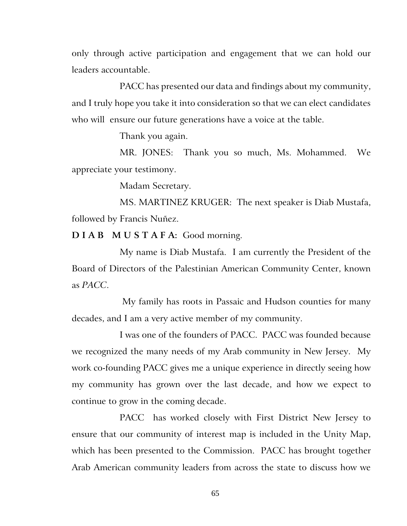only through active participation and engagement that we can hold our leaders accountable.

PACC has presented our data and findings about my community, and I truly hope you take it into consideration so that we can elect candidates who will ensure our future generations have a voice at the table.

Thank you again.

MR. JONES: Thank you so much, Ms. Mohammed. We appreciate your testimony.

Madam Secretary.

MS. MARTINEZ KRUGER: The next speaker is Diab Mustafa, followed by Francis Nuñez.

**D I A B M U S T A F A:** Good morning.

My name is Diab Mustafa. I am currently the President of the Board of Directors of the Palestinian American Community Center, known as *PACC*.

My family has roots in Passaic and Hudson counties for many decades, and I am a very active member of my community.

I was one of the founders of PACC. PACC was founded because we recognized the many needs of my Arab community in New Jersey. My work co-founding PACC gives me a unique experience in directly seeing how my community has grown over the last decade, and how we expect to continue to grow in the coming decade.

PACC has worked closely with First District New Jersey to ensure that our community of interest map is included in the Unity Map, which has been presented to the Commission. PACC has brought together Arab American community leaders from across the state to discuss how we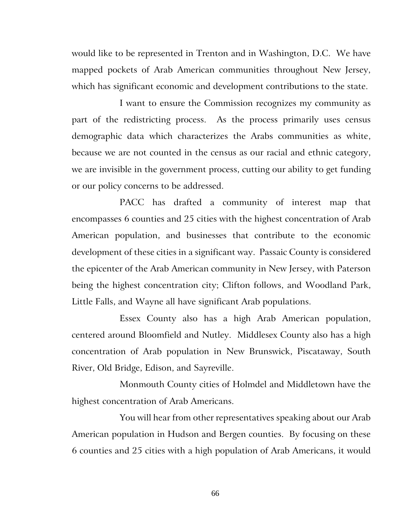would like to be represented in Trenton and in Washington, D.C. We have mapped pockets of Arab American communities throughout New Jersey, which has significant economic and development contributions to the state.

I want to ensure the Commission recognizes my community as part of the redistricting process. As the process primarily uses census demographic data which characterizes the Arabs communities as white, because we are not counted in the census as our racial and ethnic category, we are invisible in the government process, cutting our ability to get funding or our policy concerns to be addressed.

PACC has drafted a community of interest map that encompasses 6 counties and 25 cities with the highest concentration of Arab American population, and businesses that contribute to the economic development of these cities in a significant way. Passaic County is considered the epicenter of the Arab American community in New Jersey, with Paterson being the highest concentration city; Clifton follows, and Woodland Park, Little Falls, and Wayne all have significant Arab populations.

Essex County also has a high Arab American population, centered around Bloomfield and Nutley. Middlesex County also has a high concentration of Arab population in New Brunswick, Piscataway, South River, Old Bridge, Edison, and Sayreville.

Monmouth County cities of Holmdel and Middletown have the highest concentration of Arab Americans.

You will hear from other representatives speaking about our Arab American population in Hudson and Bergen counties. By focusing on these 6 counties and 25 cities with a high population of Arab Americans, it would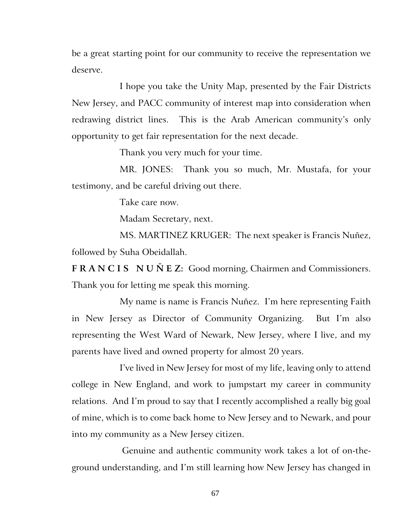be a great starting point for our community to receive the representation we deserve.

I hope you take the Unity Map, presented by the Fair Districts New Jersey, and PACC community of interest map into consideration when redrawing district lines. This is the Arab American community's only opportunity to get fair representation for the next decade.

Thank you very much for your time.

MR. JONES: Thank you so much, Mr. Mustafa, for your testimony, and be careful driving out there.

Take care now.

Madam Secretary, next.

MS. MARTINEZ KRUGER: The next speaker is Francis Nuñez, followed by Suha Obeidallah.

F R A N C I S N U  $\tilde{N}$  E Z: Good morning, Chairmen and Commissioners. Thank you for letting me speak this morning.

My name is name is Francis Nuñez. I'm here representing Faith in New Jersey as Director of Community Organizing. But I'm also representing the West Ward of Newark, New Jersey, where I live, and my parents have lived and owned property for almost 20 years.

I've lived in New Jersey for most of my life, leaving only to attend college in New England, and work to jumpstart my career in community relations. And I'm proud to say that I recently accomplished a really big goal of mine, which is to come back home to New Jersey and to Newark, and pour into my community as a New Jersey citizen.

Genuine and authentic community work takes a lot of on-theground understanding, and I'm still learning how New Jersey has changed in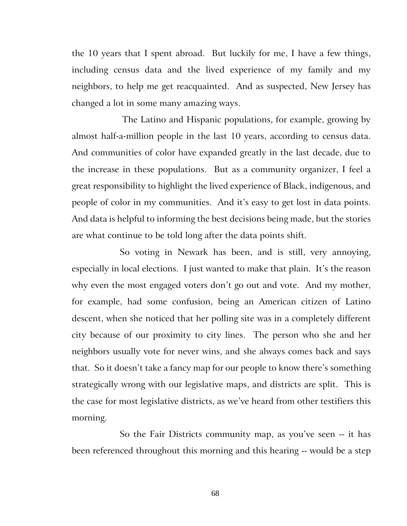the 10 years that I spent abroad. But luckily for me, I have a few things, including census data and the lived experience of my family and my neighbors, to help me get reacquainted. And as suspected, New Jersey has changed a lot in some many amazing ways.

The Latino and Hispanic populations, for example, growing by almost half-a-million people in the last 10 years, according to census data. And communities of color have expanded greatly in the last decade, due to the increase in these populations. But as a community organizer, I feel a great responsibility to highlight the lived experience of Black, indigenous, and people of color in my communities. And it's easy to get lost in data points. And data is helpful to informing the best decisions being made, but the stories are what continue to be told long after the data points shift.

So voting in Newark has been, and is still, very annoying, especially in local elections. I just wanted to make that plain. It's the reason why even the most engaged voters don't go out and vote. And my mother, for example, had some confusion, being an American citizen of Latino descent, when she noticed that her polling site was in a completely different city because of our proximity to city lines. The person who she and her neighbors usually vote for never wins, and she always comes back and says that. So it doesn't take a fancy map for our people to know there's something strategically wrong with our legislative maps, and districts are split. This is the case for most legislative districts, as we've heard from other testifiers this morning.

So the Fair Districts community map, as you've seen -- it has been referenced throughout this morning and this hearing -- would be a step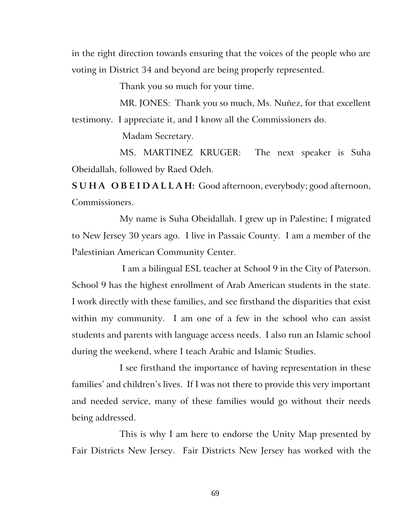in the right direction towards ensuring that the voices of the people who are voting in District 34 and beyond are being properly represented.

Thank you so much for your time.

MR. JONES: Thank you so much, Ms. Nuñez, for that excellent testimony. I appreciate it, and I know all the Commissioners do.

Madam Secretary.

MS. MARTINEZ KRUGER: The next speaker is Suha Obeidallah, followed by Raed Odeh.

**S U H A O B E I D A L L A H:** Good afternoon, everybody; good afternoon, Commissioners.

My name is Suha Obeidallah. I grew up in Palestine; I migrated to New Jersey 30 years ago. I live in Passaic County. I am a member of the Palestinian American Community Center.

I am a bilingual ESL teacher at School 9 in the City of Paterson. School 9 has the highest enrollment of Arab American students in the state. I work directly with these families, and see firsthand the disparities that exist within my community. I am one of a few in the school who can assist students and parents with language access needs. I also run an Islamic school during the weekend, where I teach Arabic and Islamic Studies.

I see firsthand the importance of having representation in these families' and children's lives. If I was not there to provide this very important and needed service, many of these families would go without their needs being addressed.

This is why I am here to endorse the Unity Map presented by Fair Districts New Jersey. Fair Districts New Jersey has worked with the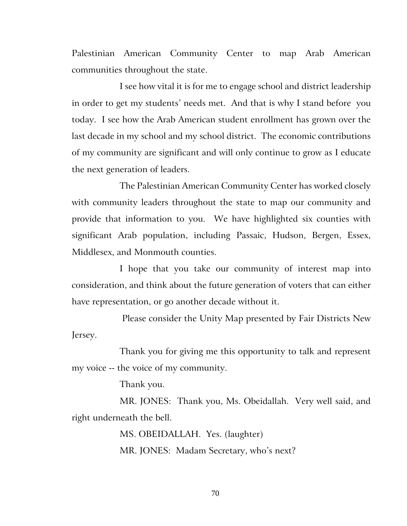Palestinian American Community Center to map Arab American communities throughout the state.

I see how vital it is for me to engage school and district leadership in order to get my students' needs met. And that is why I stand before you today. I see how the Arab American student enrollment has grown over the last decade in my school and my school district. The economic contributions of my community are significant and will only continue to grow as I educate the next generation of leaders.

The Palestinian American Community Center has worked closely with community leaders throughout the state to map our community and provide that information to you. We have highlighted six counties with significant Arab population, including Passaic, Hudson, Bergen, Essex, Middlesex, and Monmouth counties.

I hope that you take our community of interest map into consideration, and think about the future generation of voters that can either have representation, or go another decade without it.

Please consider the Unity Map presented by Fair Districts New Jersey.

Thank you for giving me this opportunity to talk and represent my voice -- the voice of my community.

Thank you.

MR. JONES: Thank you, Ms. Obeidallah. Very well said, and right underneath the bell.

> MS. OBEIDALLAH. Yes. (laughter) MR. JONES: Madam Secretary, who's next?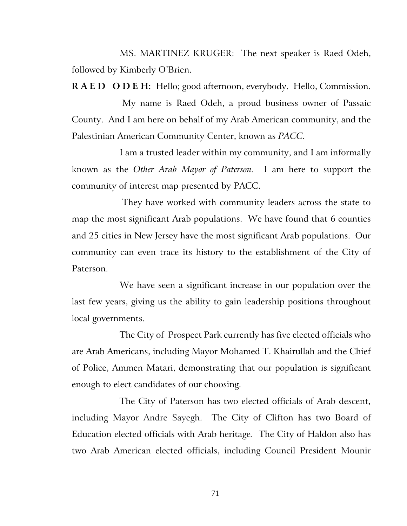MS. MARTINEZ KRUGER: The next speaker is Raed Odeh, followed by Kimberly O'Brien.

**R A E D O D E H:** Hello; good afternoon, everybody. Hello, Commission.

My name is Raed Odeh, a proud business owner of Passaic County. And I am here on behalf of my Arab American community, and the Palestinian American Community Center, known as *PACC.*

I am a trusted leader within my community, and I am informally known as the *Other Arab Mayor of Paterson.* I am here to support the community of interest map presented by PACC.

They have worked with community leaders across the state to map the most significant Arab populations. We have found that 6 counties and 25 cities in New Jersey have the most significant Arab populations. Our community can even trace its history to the establishment of the City of Paterson.

We have seen a significant increase in our population over the last few years, giving us the ability to gain leadership positions throughout local governments.

The City of Prospect Park currently has five elected officials who are Arab Americans, including Mayor Mohamed T. Khairullah and the Chief of Police, Ammen Matari, demonstrating that our population is significant enough to elect candidates of our choosing.

The City of Paterson has two elected officials of Arab descent, including Mayor Andre Sayegh. The City of Clifton has two Board of Education elected officials with Arab heritage. The City of Haldon also has two Arab American elected officials, including Council President Mounir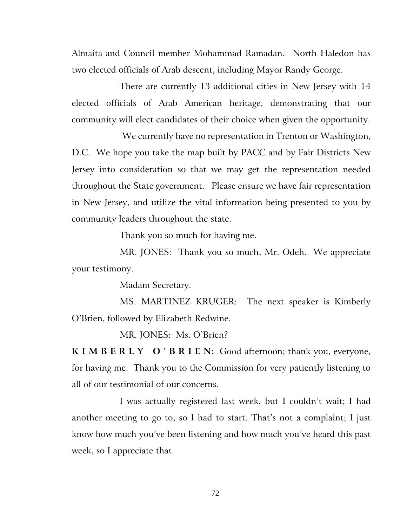Almaita and Council member Mohammad Ramadan.North Haledon has two elected officials of Arab descent, including Mayor Randy George.

There are currently 13 additional cities in New Jersey with 14 elected officials of Arab American heritage, demonstrating that our community will elect candidates of their choice when given the opportunity.

We currently have no representation in Trenton or Washington, D.C. We hope you take the map built by PACC and by Fair Districts New Jersey into consideration so that we may get the representation needed throughout the State government. Please ensure we have fair representation in New Jersey, and utilize the vital information being presented to you by community leaders throughout the state.

Thank you so much for having me.

MR. JONES: Thank you so much, Mr. Odeh. We appreciate your testimony.

Madam Secretary.

MS. MARTINEZ KRUGER: The next speaker is Kimberly O'Brien, followed by Elizabeth Redwine.

MR. JONES: Ms. O'Brien?

**K I M B E R L Y O ' B R I E N:** Good afternoon; thank you, everyone, for having me. Thank you to the Commission for very patiently listening to all of our testimonial of our concerns.

I was actually registered last week, but I couldn't wait; I had another meeting to go to, so I had to start. That's not a complaint; I just know how much you've been listening and how much you've heard this past week, so I appreciate that.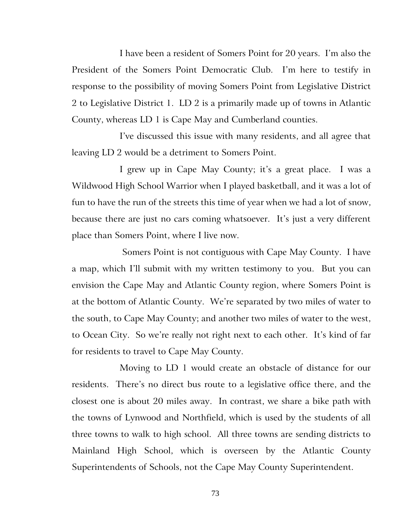I have been a resident of Somers Point for 20 years. I'm also the President of the Somers Point Democratic Club. I'm here to testify in response to the possibility of moving Somers Point from Legislative District 2 to Legislative District 1. LD 2 is a primarily made up of towns in Atlantic County, whereas LD 1 is Cape May and Cumberland counties.

I've discussed this issue with many residents, and all agree that leaving LD 2 would be a detriment to Somers Point.

I grew up in Cape May County; it's a great place. I was a Wildwood High School Warrior when I played basketball, and it was a lot of fun to have the run of the streets this time of year when we had a lot of snow, because there are just no cars coming whatsoever. It's just a very different place than Somers Point, where I live now.

Somers Point is not contiguous with Cape May County. I have a map, which I'll submit with my written testimony to you. But you can envision the Cape May and Atlantic County region, where Somers Point is at the bottom of Atlantic County. We're separated by two miles of water to the south, to Cape May County; and another two miles of water to the west, to Ocean City. So we're really not right next to each other. It's kind of far for residents to travel to Cape May County.

Moving to LD 1 would create an obstacle of distance for our residents. There's no direct bus route to a legislative office there, and the closest one is about 20 miles away. In contrast, we share a bike path with the towns of Lynwood and Northfield, which is used by the students of all three towns to walk to high school. All three towns are sending districts to Mainland High School, which is overseen by the Atlantic County Superintendents of Schools, not the Cape May County Superintendent.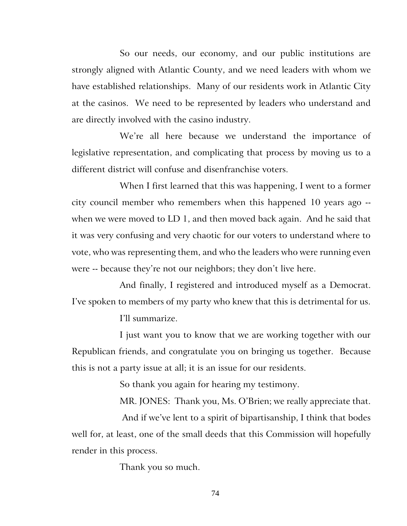So our needs, our economy, and our public institutions are strongly aligned with Atlantic County, and we need leaders with whom we have established relationships. Many of our residents work in Atlantic City at the casinos. We need to be represented by leaders who understand and are directly involved with the casino industry.

We're all here because we understand the importance of legislative representation, and complicating that process by moving us to a different district will confuse and disenfranchise voters.

When I first learned that this was happening, I went to a former city council member who remembers when this happened 10 years ago - when we were moved to LD 1, and then moved back again. And he said that it was very confusing and very chaotic for our voters to understand where to vote, who was representing them, and who the leaders who were running even were -- because they're not our neighbors; they don't live here.

And finally, I registered and introduced myself as a Democrat. I've spoken to members of my party who knew that this is detrimental for us.

I'll summarize.

I just want you to know that we are working together with our Republican friends, and congratulate you on bringing us together. Because this is not a party issue at all; it is an issue for our residents.

So thank you again for hearing my testimony.

MR. JONES: Thank you, Ms. O'Brien; we really appreciate that.

And if we've lent to a spirit of bipartisanship, I think that bodes well for, at least, one of the small deeds that this Commission will hopefully render in this process.

Thank you so much.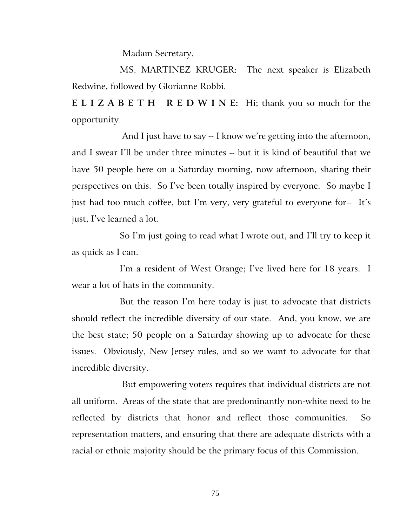Madam Secretary.

MS. MARTINEZ KRUGER: The next speaker is Elizabeth Redwine, followed by Glorianne Robbi.

**E L I Z A B E T H R E D W I N E:** Hi; thank you so much for the opportunity.

And I just have to say -- I know we're getting into the afternoon, and I swear I'll be under three minutes -- but it is kind of beautiful that we have 50 people here on a Saturday morning, now afternoon, sharing their perspectives on this. So I've been totally inspired by everyone. So maybe I just had too much coffee, but I'm very, very grateful to everyone for-- It's just, I've learned a lot.

So I'm just going to read what I wrote out, and I'll try to keep it as quick as I can.

I'm a resident of West Orange; I've lived here for 18 years. I wear a lot of hats in the community.

But the reason I'm here today is just to advocate that districts should reflect the incredible diversity of our state. And, you know, we are the best state; 50 people on a Saturday showing up to advocate for these issues. Obviously, New Jersey rules, and so we want to advocate for that incredible diversity.

But empowering voters requires that individual districts are not all uniform. Areas of the state that are predominantly non-white need to be reflected by districts that honor and reflect those communities. So representation matters, and ensuring that there are adequate districts with a racial or ethnic majority should be the primary focus of this Commission.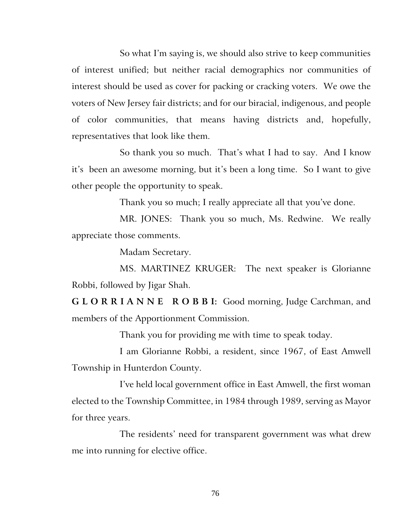So what I'm saying is, we should also strive to keep communities of interest unified; but neither racial demographics nor communities of interest should be used as cover for packing or cracking voters. We owe the voters of New Jersey fair districts; and for our biracial, indigenous, and people of color communities, that means having districts and, hopefully, representatives that look like them.

So thank you so much. That's what I had to say. And I know it's been an awesome morning, but it's been a long time. So I want to give other people the opportunity to speak.

Thank you so much; I really appreciate all that you've done.

MR. JONES: Thank you so much, Ms. Redwine. We really appreciate those comments.

Madam Secretary.

MS. MARTINEZ KRUGER: The next speaker is Glorianne Robbi, followed by Jigar Shah.

**G L O R R I A N N E R O B B I:** Good morning, Judge Carchman, and members of the Apportionment Commission.

Thank you for providing me with time to speak today.

I am Glorianne Robbi, a resident, since 1967, of East Amwell Township in Hunterdon County.

I've held local government office in East Amwell, the first woman elected to the Township Committee, in 1984 through 1989, serving as Mayor for three years.

The residents' need for transparent government was what drew me into running for elective office.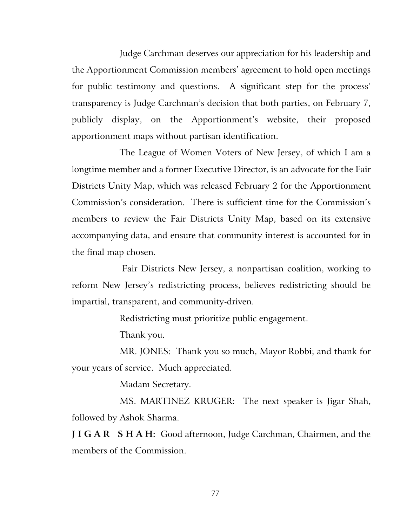Judge Carchman deserves our appreciation for his leadership and the Apportionment Commission members' agreement to hold open meetings for public testimony and questions. A significant step for the process' transparency is Judge Carchman's decision that both parties, on February 7, publicly display, on the Apportionment's website, their proposed apportionment maps without partisan identification.

The League of Women Voters of New Jersey, of which I am a longtime member and a former Executive Director, is an advocate for the Fair Districts Unity Map, which was released February 2 for the Apportionment Commission's consideration. There is sufficient time for the Commission's members to review the Fair Districts Unity Map, based on its extensive accompanying data, and ensure that community interest is accounted for in the final map chosen.

Fair Districts New Jersey, a nonpartisan coalition, working to reform New Jersey's redistricting process, believes redistricting should be impartial, transparent, and community-driven.

Redistricting must prioritize public engagement.

Thank you.

MR. JONES: Thank you so much, Mayor Robbi; and thank for your years of service. Much appreciated.

Madam Secretary.

MS. MARTINEZ KRUGER: The next speaker is Jigar Shah, followed by Ashok Sharma.

**J I G A R S H A H:** Good afternoon, Judge Carchman, Chairmen, and the members of the Commission.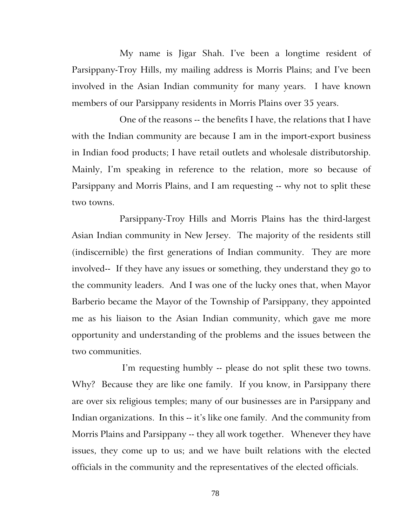My name is Jigar Shah. I've been a longtime resident of Parsippany-Troy Hills, my mailing address is Morris Plains; and I've been involved in the Asian Indian community for many years. I have known members of our Parsippany residents in Morris Plains over 35 years.

One of the reasons -- the benefits I have, the relations that I have with the Indian community are because I am in the import-export business in Indian food products; I have retail outlets and wholesale distributorship. Mainly, I'm speaking in reference to the relation, more so because of Parsippany and Morris Plains, and I am requesting -- why not to split these two towns.

Parsippany-Troy Hills and Morris Plains has the third-largest Asian Indian community in New Jersey. The majority of the residents still (indiscernible) the first generations of Indian community. They are more involved-- If they have any issues or something, they understand they go to the community leaders. And I was one of the lucky ones that, when Mayor Barberio became the Mayor of the Township of Parsippany, they appointed me as his liaison to the Asian Indian community, which gave me more opportunity and understanding of the problems and the issues between the two communities.

I'm requesting humbly -- please do not split these two towns. Why? Because they are like one family. If you know, in Parsippany there are over six religious temples; many of our businesses are in Parsippany and Indian organizations. In this -- it's like one family. And the community from Morris Plains and Parsippany -- they all work together. Whenever they have issues, they come up to us; and we have built relations with the elected officials in the community and the representatives of the elected officials.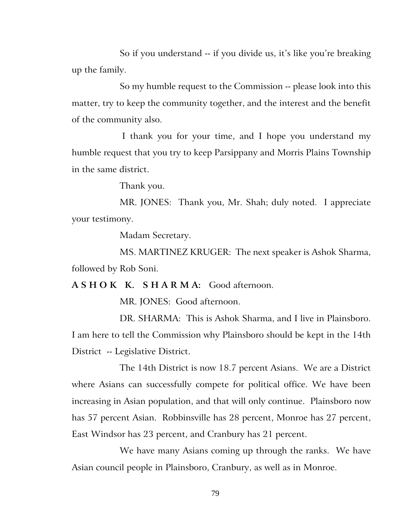So if you understand -- if you divide us, it's like you're breaking up the family.

So my humble request to the Commission -- please look into this matter, try to keep the community together, and the interest and the benefit of the community also.

I thank you for your time, and I hope you understand my humble request that you try to keep Parsippany and Morris Plains Township in the same district.

Thank you.

MR. JONES: Thank you, Mr. Shah; duly noted. I appreciate your testimony.

Madam Secretary.

MS. MARTINEZ KRUGER: The next speaker is Ashok Sharma, followed by Rob Soni.

**A S H O K K. S H A R M A:** Good afternoon.

MR. JONES: Good afternoon.

DR. SHARMA: This is Ashok Sharma, and I live in Plainsboro. I am here to tell the Commission why Plainsboro should be kept in the 14th District -- Legislative District.

The 14th District is now 18.7 percent Asians. We are a District where Asians can successfully compete for political office. We have been increasing in Asian population, and that will only continue. Plainsboro now has 57 percent Asian. Robbinsville has 28 percent, Monroe has 27 percent, East Windsor has 23 percent, and Cranbury has 21 percent.

We have many Asians coming up through the ranks. We have Asian council people in Plainsboro, Cranbury, as well as in Monroe.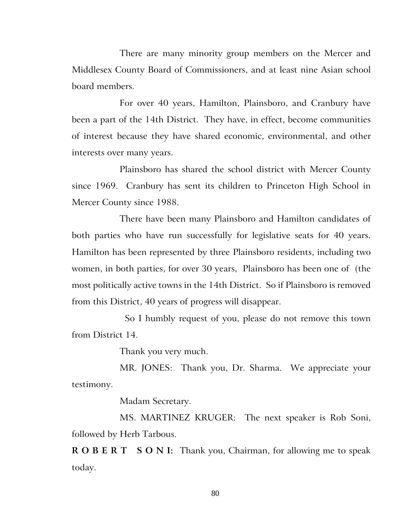There are many minority group members on the Mercer and Middlesex County Board of Commissioners, and at least nine Asian school board members.

For over 40 years, Hamilton, Plainsboro, and Cranbury have been a part of the 14th District. They have, in effect, become communities of interest because they have shared economic, environmental, and other interests over many years.

Plainsboro has shared the school district with Mercer County since 1969. Cranbury has sent its children to Princeton High School in Mercer County since 1988.

There have been many Plainsboro and Hamilton candidates of both parties who have run successfully for legislative seats for 40 years. Hamilton has been represented by three Plainsboro residents, including two women, in both parties, for over 30 years, Plainsboro has been one of (the most politically active towns in the 14th District. So if Plainsboro is removed from this District, 40 years of progress will disappear.

So I humbly request of you, please do not remove this town from District 14.

Thank you very much.

MR. JONES: Thank you, Dr. Sharma. We appreciate your testimony.

Madam Secretary.

MS. MARTINEZ KRUGER: The next speaker is Rob Soni, followed by Herb Tarbous.

**R O B E R T S O N I:** Thank you, Chairman, for allowing me to speak today.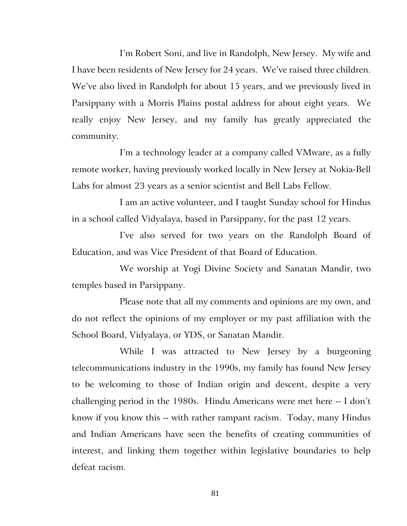I'm Robert Soni, and live in Randolph, New Jersey. My wife and I have been residents of New Jersey for 24 years. We've raised three children. We've also lived in Randolph for about 15 years, and we previously lived in Parsippany with a Morris Plains postal address for about eight years. We really enjoy New Jersey, and my family has greatly appreciated the community.

I'm a technology leader at a company called VMware, as a fully remote worker, having previously worked locally in New Jersey at Nokia-Bell Labs for almost 23 years as a senior scientist and Bell Labs Fellow.

I am an active volunteer, and I taught Sunday school for Hindus in a school called Vidyalaya, based in Parsippany, for the past 12 years.

I've also served for two years on the Randolph Board of Education, and was Vice President of that Board of Education.

We worship at Yogi Divine Society and Sanatan Mandir, two temples based in Parsippany.

Please note that all my comments and opinions are my own, and do not reflect the opinions of my employer or my past affiliation with the School Board, Vidyalaya, or YDS, or Sanatan Mandir.

While I was attracted to New Jersey by a burgeoning telecommunications industry in the 1990s, my family has found New Jersey to be welcoming to those of Indian origin and descent, despite a very challenging period in the 1980s. Hindu Americans were met here -- I don't know if you know this -- with rather rampant racism. Today, many Hindus and Indian Americans have seen the benefits of creating communities of interest, and linking them together within legislative boundaries to help defeat racism.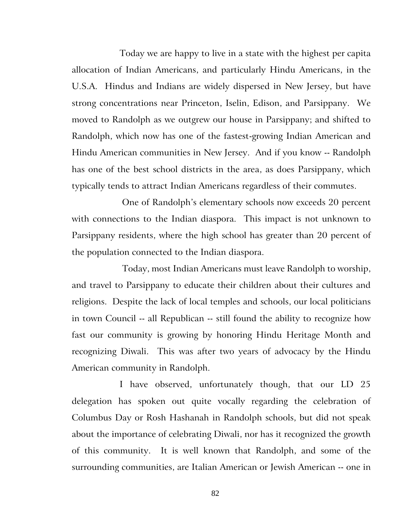Today we are happy to live in a state with the highest per capita allocation of Indian Americans, and particularly Hindu Americans, in the U.S.A. Hindus and Indians are widely dispersed in New Jersey, but have strong concentrations near Princeton, Iselin, Edison, and Parsippany. We moved to Randolph as we outgrew our house in Parsippany; and shifted to Randolph, which now has one of the fastest-growing Indian American and Hindu American communities in New Jersey. And if you know -- Randolph has one of the best school districts in the area, as does Parsippany, which typically tends to attract Indian Americans regardless of their commutes.

One of Randolph's elementary schools now exceeds 20 percent with connections to the Indian diaspora. This impact is not unknown to Parsippany residents, where the high school has greater than 20 percent of the population connected to the Indian diaspora.

Today, most Indian Americans must leave Randolph to worship, and travel to Parsippany to educate their children about their cultures and religions. Despite the lack of local temples and schools, our local politicians in town Council -- all Republican -- still found the ability to recognize how fast our community is growing by honoring Hindu Heritage Month and recognizing Diwali. This was after two years of advocacy by the Hindu American community in Randolph.

I have observed, unfortunately though, that our LD 25 delegation has spoken out quite vocally regarding the celebration of Columbus Day or Rosh Hashanah in Randolph schools, but did not speak about the importance of celebrating Diwali, nor has it recognized the growth of this community. It is well known that Randolph, and some of the surrounding communities, are Italian American or Jewish American -- one in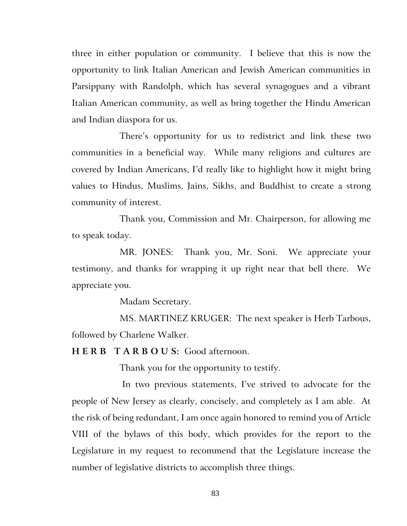three in either population or community. I believe that this is now the opportunity to link Italian American and Jewish American communities in Parsippany with Randolph, which has several synagogues and a vibrant Italian American community, as well as bring together the Hindu American and Indian diaspora for us.

There's opportunity for us to redistrict and link these two communities in a beneficial way. While many religions and cultures are covered by Indian Americans, I'd really like to highlight how it might bring values to Hindus, Muslims, Jains, Sikhs, and Buddhist to create a strong community of interest.

Thank you, Commission and Mr. Chairperson, for allowing me to speak today.

MR. JONES: Thank you, Mr. Soni. We appreciate your testimony, and thanks for wrapping it up right near that bell there. We appreciate you.

Madam Secretary.

MS. MARTINEZ KRUGER: The next speaker is Herb Tarbous, followed by Charlene Walker.

**H E R B T A R B O U S:** Good afternoon.

Thank you for the opportunity to testify.

In two previous statements, I've strived to advocate for the people of New Jersey as clearly, concisely, and completely as I am able. At the risk of being redundant, I am once again honored to remind you of Article VIII of the bylaws of this body, which provides for the report to the Legislature in my request to recommend that the Legislature increase the number of legislative districts to accomplish three things.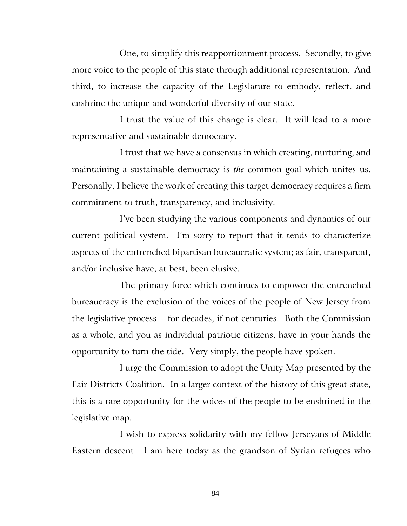One, to simplify this reapportionment process. Secondly, to give more voice to the people of this state through additional representation. And third, to increase the capacity of the Legislature to embody, reflect, and enshrine the unique and wonderful diversity of our state.

I trust the value of this change is clear. It will lead to a more representative and sustainable democracy.

I trust that we have a consensus in which creating, nurturing, and maintaining a sustainable democracy is *the* common goal which unites us. Personally, I believe the work of creating this target democracy requires a firm commitment to truth, transparency, and inclusivity.

I've been studying the various components and dynamics of our current political system. I'm sorry to report that it tends to characterize aspects of the entrenched bipartisan bureaucratic system; as fair, transparent, and/or inclusive have, at best, been elusive.

The primary force which continues to empower the entrenched bureaucracy is the exclusion of the voices of the people of New Jersey from the legislative process -- for decades, if not centuries. Both the Commission as a whole, and you as individual patriotic citizens, have in your hands the opportunity to turn the tide. Very simply, the people have spoken.

I urge the Commission to adopt the Unity Map presented by the Fair Districts Coalition. In a larger context of the history of this great state, this is a rare opportunity for the voices of the people to be enshrined in the legislative map.

I wish to express solidarity with my fellow Jerseyans of Middle Eastern descent. I am here today as the grandson of Syrian refugees who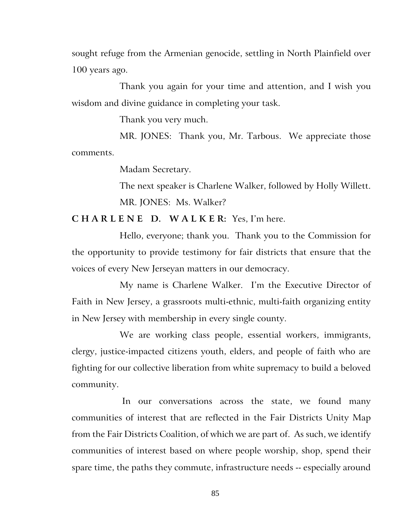sought refuge from the Armenian genocide, settling in North Plainfield over 100 years ago.

Thank you again for your time and attention, and I wish you wisdom and divine guidance in completing your task.

Thank you very much.

MR. JONES: Thank you, Mr. Tarbous. We appreciate those comments.

Madam Secretary.

The next speaker is Charlene Walker, followed by Holly Willett. MR. JONES: Ms. Walker?

**C H A R L E N E D. W A L K E R:** Yes, I'm here.

Hello, everyone; thank you. Thank you to the Commission for the opportunity to provide testimony for fair districts that ensure that the voices of every New Jerseyan matters in our democracy.

My name is Charlene Walker. I'm the Executive Director of Faith in New Jersey, a grassroots multi-ethnic, multi-faith organizing entity in New Jersey with membership in every single county.

We are working class people, essential workers, immigrants, clergy, justice-impacted citizens youth, elders, and people of faith who are fighting for our collective liberation from white supremacy to build a beloved community.

In our conversations across the state, we found many communities of interest that are reflected in the Fair Districts Unity Map from the Fair Districts Coalition, of which we are part of. As such, we identify communities of interest based on where people worship, shop, spend their spare time, the paths they commute, infrastructure needs -- especially around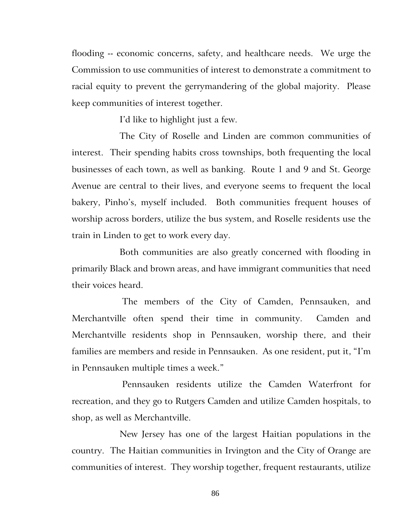flooding -- economic concerns, safety, and healthcare needs. We urge the Commission to use communities of interest to demonstrate a commitment to racial equity to prevent the gerrymandering of the global majority. Please keep communities of interest together.

I'd like to highlight just a few.

The City of Roselle and Linden are common communities of interest. Their spending habits cross townships, both frequenting the local businesses of each town, as well as banking. Route 1 and 9 and St. George Avenue are central to their lives, and everyone seems to frequent the local bakery, Pinho's, myself included. Both communities frequent houses of worship across borders, utilize the bus system, and Roselle residents use the train in Linden to get to work every day.

Both communities are also greatly concerned with flooding in primarily Black and brown areas, and have immigrant communities that need their voices heard.

The members of the City of Camden, Pennsauken, and Merchantville often spend their time in community. Camden and Merchantville residents shop in Pennsauken, worship there, and their families are members and reside in Pennsauken. As one resident, put it, "I'm in Pennsauken multiple times a week."

Pennsauken residents utilize the Camden Waterfront for recreation, and they go to Rutgers Camden and utilize Camden hospitals, to shop, as well as Merchantville.

New Jersey has one of the largest Haitian populations in the country. The Haitian communities in Irvington and the City of Orange are communities of interest. They worship together, frequent restaurants, utilize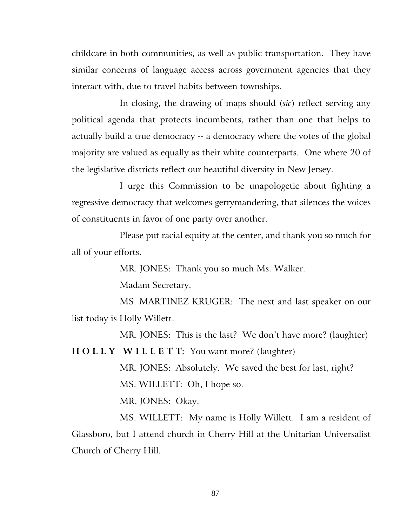childcare in both communities, as well as public transportation. They have similar concerns of language access across government agencies that they interact with, due to travel habits between townships.

In closing, the drawing of maps should (*sic*) reflect serving any political agenda that protects incumbents, rather than one that helps to actually build a true democracy -- a democracy where the votes of the global majority are valued as equally as their white counterparts. One where 20 of the legislative districts reflect our beautiful diversity in New Jersey.

I urge this Commission to be unapologetic about fighting a regressive democracy that welcomes gerrymandering, that silences the voices of constituents in favor of one party over another.

Please put racial equity at the center, and thank you so much for all of your efforts.

MR. JONES: Thank you so much Ms. Walker.

Madam Secretary.

MS. MARTINEZ KRUGER: The next and last speaker on our list today is Holly Willett.

MR. JONES: This is the last? We don't have more? (laughter)

**H O L L Y W I L L E T T:** You want more? (laughter)

MR. JONES: Absolutely. We saved the best for last, right? MS. WILLETT: Oh, I hope so.

MR. JONES: Okay.

MS. WILLETT: My name is Holly Willett. I am a resident of Glassboro, but I attend church in Cherry Hill at the Unitarian Universalist Church of Cherry Hill.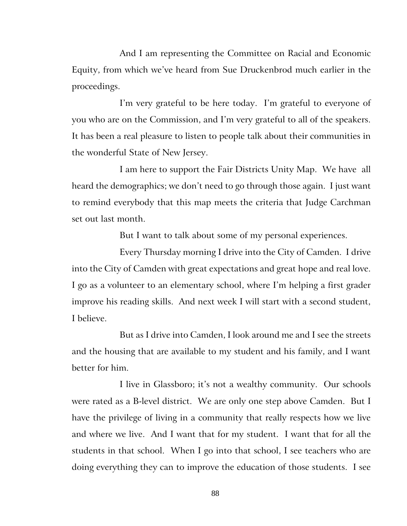And I am representing the Committee on Racial and Economic Equity, from which we've heard from Sue Druckenbrod much earlier in the proceedings.

I'm very grateful to be here today. I'm grateful to everyone of you who are on the Commission, and I'm very grateful to all of the speakers. It has been a real pleasure to listen to people talk about their communities in the wonderful State of New Jersey.

I am here to support the Fair Districts Unity Map. We have all heard the demographics; we don't need to go through those again. I just want to remind everybody that this map meets the criteria that Judge Carchman set out last month.

But I want to talk about some of my personal experiences.

Every Thursday morning I drive into the City of Camden. I drive into the City of Camden with great expectations and great hope and real love. I go as a volunteer to an elementary school, where I'm helping a first grader improve his reading skills. And next week I will start with a second student, I believe.

But as I drive into Camden, I look around me and I see the streets and the housing that are available to my student and his family, and I want better for him.

I live in Glassboro; it's not a wealthy community. Our schools were rated as a B-level district. We are only one step above Camden. But I have the privilege of living in a community that really respects how we live and where we live. And I want that for my student. I want that for all the students in that school. When I go into that school, I see teachers who are doing everything they can to improve the education of those students. I see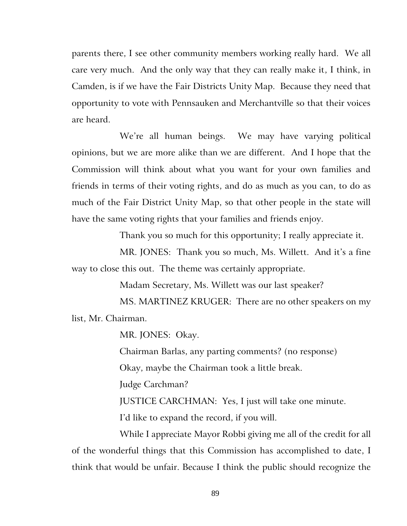parents there, I see other community members working really hard. We all care very much. And the only way that they can really make it, I think, in Camden, is if we have the Fair Districts Unity Map. Because they need that opportunity to vote with Pennsauken and Merchantville so that their voices are heard.

We're all human beings. We may have varying political opinions, but we are more alike than we are different. And I hope that the Commission will think about what you want for your own families and friends in terms of their voting rights, and do as much as you can, to do as much of the Fair District Unity Map, so that other people in the state will have the same voting rights that your families and friends enjoy.

Thank you so much for this opportunity; I really appreciate it.

MR. JONES: Thank you so much, Ms. Willett. And it's a fine way to close this out. The theme was certainly appropriate.

Madam Secretary, Ms. Willett was our last speaker?

MS. MARTINEZ KRUGER: There are no other speakers on my list, Mr. Chairman.

MR. JONES: Okay.

Chairman Barlas, any parting comments? (no response)

Okay, maybe the Chairman took a little break.

Judge Carchman?

JUSTICE CARCHMAN: Yes, I just will take one minute.

I'd like to expand the record, if you will.

While I appreciate Mayor Robbi giving me all of the credit for all of the wonderful things that this Commission has accomplished to date, I think that would be unfair. Because I think the public should recognize the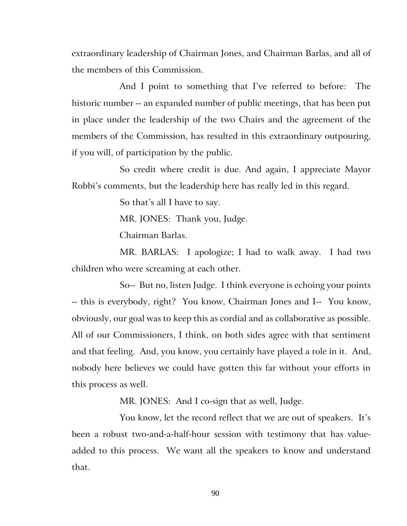extraordinary leadership of Chairman Jones, and Chairman Barlas, and all of the members of this Commission.

And I point to something that I've referred to before: The historic number -- an expanded number of public meetings, that has been put in place under the leadership of the two Chairs and the agreement of the members of the Commission, has resulted in this extraordinary outpouring, if you will, of participation by the public.

So credit where credit is due. And again, I appreciate Mayor Robbi's comments, but the leadership here has really led in this regard.

So that's all I have to say.

MR. JONES: Thank you, Judge.

Chairman Barlas.

MR. BARLAS: I apologize; I had to walk away. I had two children who were screaming at each other.

So-- But no, listen Judge. I think everyone is echoing your points -- this is everybody, right? You know, Chairman Jones and I-- You know, obviously, our goal was to keep this as cordial and as collaborative as possible. All of our Commissioners, I think, on both sides agree with that sentiment and that feeling. And, you know, you certainly have played a role in it. And, nobody here believes we could have gotten this far without your efforts in this process as well.

MR. JONES: And I co-sign that as well, Judge.

You know, let the record reflect that we are out of speakers. It's been a robust two-and-a-half-hour session with testimony that has valueadded to this process. We want all the speakers to know and understand that.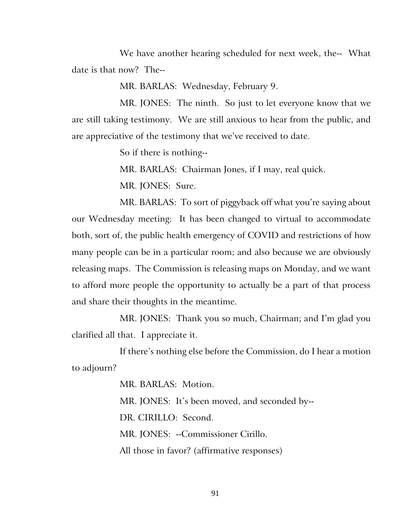We have another hearing scheduled for next week, the-- What date is that now? The--

MR. BARLAS: Wednesday, February 9.

MR. JONES: The ninth. So just to let everyone know that we are still taking testimony. We are still anxious to hear from the public, and are appreciative of the testimony that we've received to date.

So if there is nothing--

MR. BARLAS: Chairman Jones, if I may, real quick.

MR. JONES: Sure.

MR. BARLAS: To sort of piggyback off what you're saying about our Wednesday meeting: It has been changed to virtual to accommodate both, sort of, the public health emergency of COVID and restrictions of how many people can be in a particular room; and also because we are obviously releasing maps. The Commission is releasing maps on Monday, and we want to afford more people the opportunity to actually be a part of that process and share their thoughts in the meantime.

MR. JONES: Thank you so much, Chairman; and I'm glad you clarified all that. I appreciate it.

If there's nothing else before the Commission, do I hear a motion to adjourn?

MR. BARLAS: Motion.

MR. JONES: It's been moved, and seconded by--

DR. CIRILLO: Second.

MR. JONES: --Commissioner Cirillo.

All those in favor? (affirmative responses)